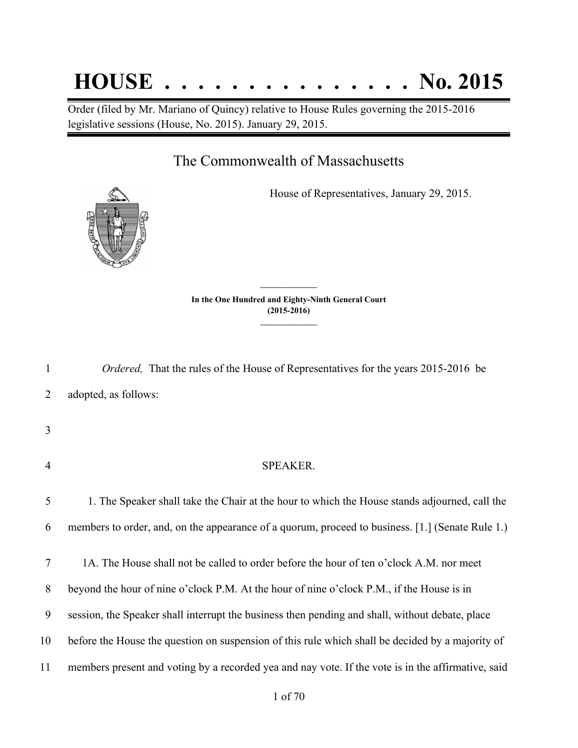# **HOUSE . . . . . . . . . . . . . . . No. 2015**

Order (filed by Mr. Mariano of Quincy) relative to House Rules governing the 2015-2016 legislative sessions (House, No. 2015). January 29, 2015.

# The Commonwealth of Massachusetts

House of Representatives, January 29, 2015.



**In the One Hundred and Eighty-Ninth General Court (2015-2016) \_\_\_\_\_\_\_\_\_\_\_\_\_\_\_**

**\_\_\_\_\_\_\_\_\_\_\_\_\_\_\_**

1 *Ordered,* That the rules of the House of Representatives for the years 2015-2016 be 2 adopted, as follows:

3

## 4 SPEAKER.

5 1. The Speaker shall take the Chair at the hour to which the House stands adjourned, call the 6 members to order, and, on the appearance of a quorum, proceed to business. [1.] (Senate Rule 1.)

7 1A. The House shall not be called to order before the hour of ten o'clock A.M. nor meet beyond the hour of nine o'clock P.M. At the hour of nine o'clock P.M., if the House is in session, the Speaker shall interrupt the business then pending and shall, without debate, place before the House the question on suspension of this rule which shall be decided by a majority of members present and voting by a recorded yea and nay vote. If the vote is in the affirmative, said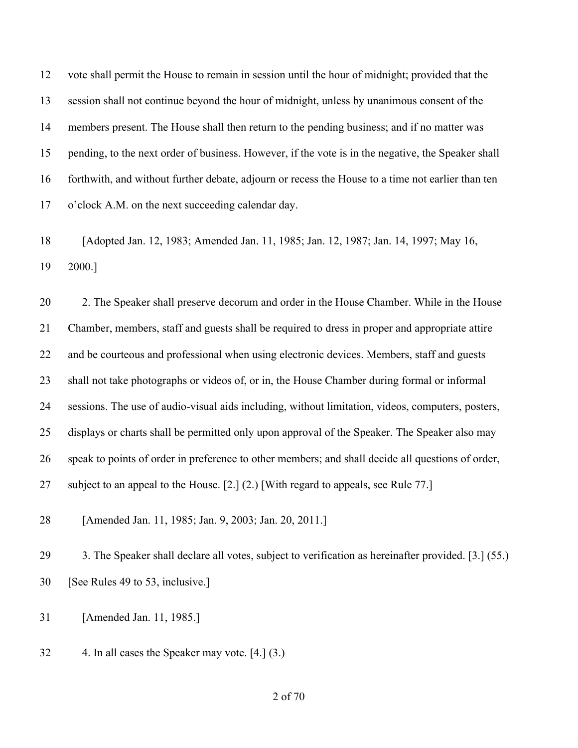vote shall permit the House to remain in session until the hour of midnight; provided that the session shall not continue beyond the hour of midnight, unless by unanimous consent of the members present. The House shall then return to the pending business; and if no matter was pending, to the next order of business. However, if the vote is in the negative, the Speaker shall forthwith, and without further debate, adjourn or recess the House to a time not earlier than ten o'clock A.M. on the next succeeding calendar day.

18 [Adopted Jan. 12, 1983; Amended Jan. 11, 1985; Jan. 12, 1987; Jan. 14, 1997; May 16, 2000.]

20 2. The Speaker shall preserve decorum and order in the House Chamber. While in the House Chamber, members, staff and guests shall be required to dress in proper and appropriate attire 22 and be courteous and professional when using electronic devices. Members, staff and guests shall not take photographs or videos of, or in, the House Chamber during formal or informal sessions. The use of audio-visual aids including, without limitation, videos, computers, posters, displays or charts shall be permitted only upon approval of the Speaker. The Speaker also may speak to points of order in preference to other members; and shall decide all questions of order, subject to an appeal to the House. [2.] (2.) [With regard to appeals, see Rule 77.]

28 [Amended Jan. 11, 1985; Jan. 9, 2003; Jan. 20, 2011.]

29 3. The Speaker shall declare all votes, subject to verification as hereinafter provided. [3.] (55.) 30 [See Rules 49 to 53, inclusive.]

31 [Amended Jan. 11, 1985.]

32 4. In all cases the Speaker may vote. [4.] (3.)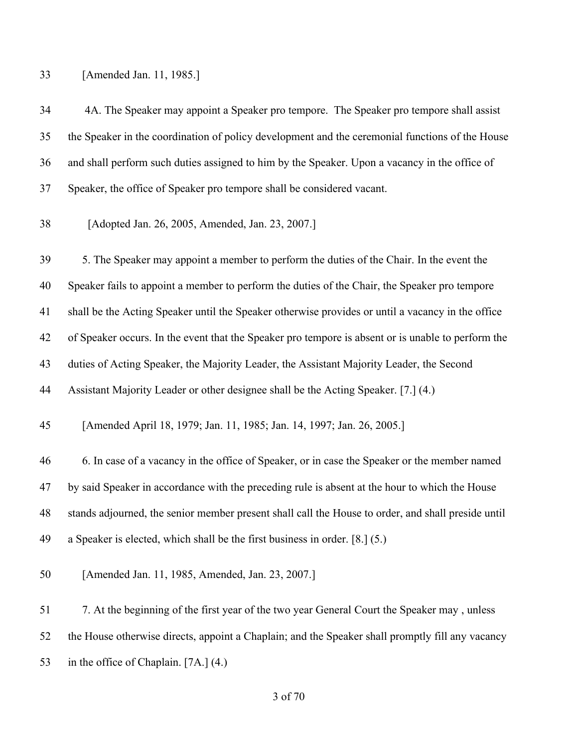33 [Amended Jan. 11, 1985.]

| 34 | 4A. The Speaker may appoint a Speaker pro tempore. The Speaker pro tempore shall assist            |
|----|----------------------------------------------------------------------------------------------------|
| 35 | the Speaker in the coordination of policy development and the ceremonial functions of the House    |
| 36 | and shall perform such duties assigned to him by the Speaker. Upon a vacancy in the office of      |
| 37 | Speaker, the office of Speaker pro tempore shall be considered vacant.                             |
| 38 | [Adopted Jan. 26, 2005, Amended, Jan. 23, 2007.]                                                   |
| 39 | 5. The Speaker may appoint a member to perform the duties of the Chair. In the event the           |
| 40 | Speaker fails to appoint a member to perform the duties of the Chair, the Speaker pro tempore      |
| 41 | shall be the Acting Speaker until the Speaker otherwise provides or until a vacancy in the office  |
| 42 | of Speaker occurs. In the event that the Speaker pro tempore is absent or is unable to perform the |
| 43 | duties of Acting Speaker, the Majority Leader, the Assistant Majority Leader, the Second           |
| 44 | Assistant Majority Leader or other designee shall be the Acting Speaker. [7.] (4.)                 |
| 45 | [Amended April 18, 1979; Jan. 11, 1985; Jan. 14, 1997; Jan. 26, 2005.]                             |
| 46 | 6. In case of a vacancy in the office of Speaker, or in case the Speaker or the member named       |
| 47 | by said Speaker in accordance with the preceding rule is absent at the hour to which the House     |
| 48 | stands adjourned, the senior member present shall call the House to order, and shall preside until |
| 49 | a Speaker is elected, which shall be the first business in order. $[8.](5.)$                       |
| 50 | [Amended Jan. 11, 1985, Amended, Jan. 23, 2007.]                                                   |
| 51 | 7. At the beginning of the first year of the two year General Court the Speaker may, unless        |
| 52 | the House otherwise directs, appoint a Chaplain; and the Speaker shall promptly fill any vacancy   |
| 53 | in the office of Chaplain. [7A.] (4.)                                                              |
|    |                                                                                                    |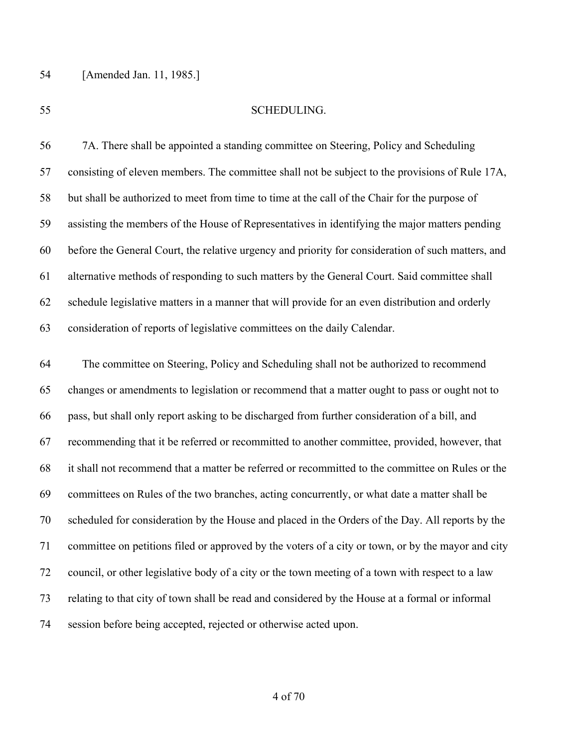54 [Amended Jan. 11, 1985.]

#### 55 SCHEDULING.

56 7A. There shall be appointed a standing committee on Steering, Policy and Scheduling consisting of eleven members. The committee shall not be subject to the provisions of Rule 17A, but shall be authorized to meet from time to time at the call of the Chair for the purpose of assisting the members of the House of Representatives in identifying the major matters pending before the General Court, the relative urgency and priority for consideration of such matters, and alternative methods of responding to such matters by the General Court. Said committee shall schedule legislative matters in a manner that will provide for an even distribution and orderly consideration of reports of legislative committees on the daily Calendar.

64 The committee on Steering, Policy and Scheduling shall not be authorized to recommend changes or amendments to legislation or recommend that a matter ought to pass or ought not to pass, but shall only report asking to be discharged from further consideration of a bill, and recommending that it be referred or recommitted to another committee, provided, however, that it shall not recommend that a matter be referred or recommitted to the committee on Rules or the committees on Rules of the two branches, acting concurrently, or what date a matter shall be scheduled for consideration by the House and placed in the Orders of the Day. All reports by the committee on petitions filed or approved by the voters of a city or town, or by the mayor and city council, or other legislative body of a city or the town meeting of a town with respect to a law relating to that city of town shall be read and considered by the House at a formal or informal session before being accepted, rejected or otherwise acted upon.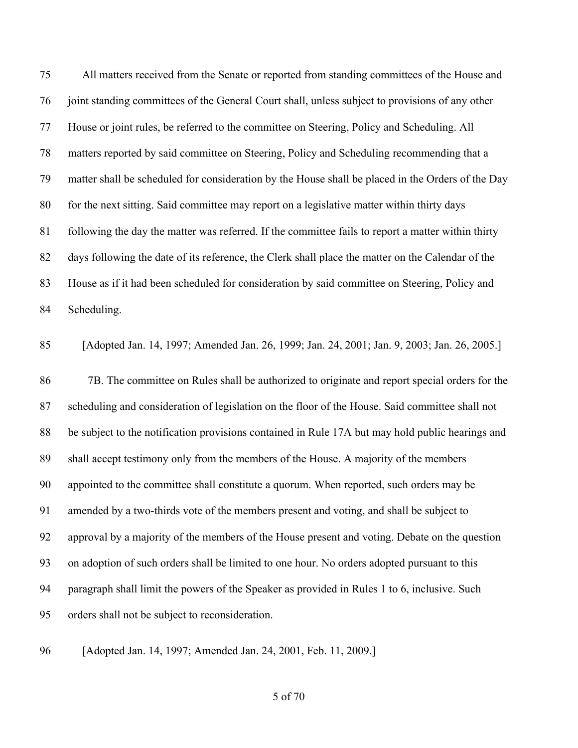75 All matters received from the Senate or reported from standing committees of the House and joint standing committees of the General Court shall, unless subject to provisions of any other House or joint rules, be referred to the committee on Steering, Policy and Scheduling. All matters reported by said committee on Steering, Policy and Scheduling recommending that a matter shall be scheduled for consideration by the House shall be placed in the Orders of the Day 80 for the next sitting. Said committee may report on a legislative matter within thirty days following the day the matter was referred. If the committee fails to report a matter within thirty days following the date of its reference, the Clerk shall place the matter on the Calendar of the House as if it had been scheduled for consideration by said committee on Steering, Policy and Scheduling.

85 [Adopted Jan. 14, 1997; Amended Jan. 26, 1999; Jan. 24, 2001; Jan. 9, 2003; Jan. 26, 2005.]

86 7B. The committee on Rules shall be authorized to originate and report special orders for the scheduling and consideration of legislation on the floor of the House. Said committee shall not be subject to the notification provisions contained in Rule 17A but may hold public hearings and shall accept testimony only from the members of the House. A majority of the members appointed to the committee shall constitute a quorum. When reported, such orders may be amended by a two-thirds vote of the members present and voting, and shall be subject to approval by a majority of the members of the House present and voting. Debate on the question on adoption of such orders shall be limited to one hour. No orders adopted pursuant to this paragraph shall limit the powers of the Speaker as provided in Rules 1 to 6, inclusive. Such orders shall not be subject to reconsideration.

96 [Adopted Jan. 14, 1997; Amended Jan. 24, 2001, Feb. 11, 2009.]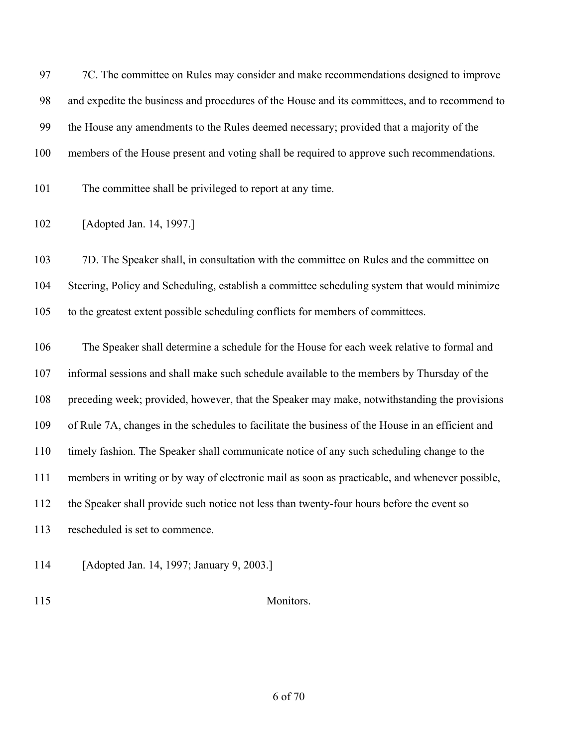| 97  | 7C. The committee on Rules may consider and make recommendations designed to improve             |
|-----|--------------------------------------------------------------------------------------------------|
| 98  | and expedite the business and procedures of the House and its committees, and to recommend to    |
| 99  | the House any amendments to the Rules deemed necessary; provided that a majority of the          |
| 100 | members of the House present and voting shall be required to approve such recommendations.       |
| 101 | The committee shall be privileged to report at any time.                                         |
| 102 | [Adopted Jan. 14, 1997.]                                                                         |
| 103 | 7D. The Speaker shall, in consultation with the committee on Rules and the committee on          |
| 104 | Steering, Policy and Scheduling, establish a committee scheduling system that would minimize     |
| 105 | to the greatest extent possible scheduling conflicts for members of committees.                  |
| 106 | The Speaker shall determine a schedule for the House for each week relative to formal and        |
| 107 | informal sessions and shall make such schedule available to the members by Thursday of the       |
| 108 | preceding week; provided, however, that the Speaker may make, notwithstanding the provisions     |
| 109 | of Rule 7A, changes in the schedules to facilitate the business of the House in an efficient and |
| 110 | timely fashion. The Speaker shall communicate notice of any such scheduling change to the        |
| 111 | members in writing or by way of electronic mail as soon as practicable, and whenever possible,   |
| 112 | the Speaker shall provide such notice not less than twenty-four hours before the event so        |
| 113 | rescheduled is set to commence.                                                                  |
| 114 | [Adopted Jan. 14, 1997; January 9, 2003.]                                                        |

115 Monitors.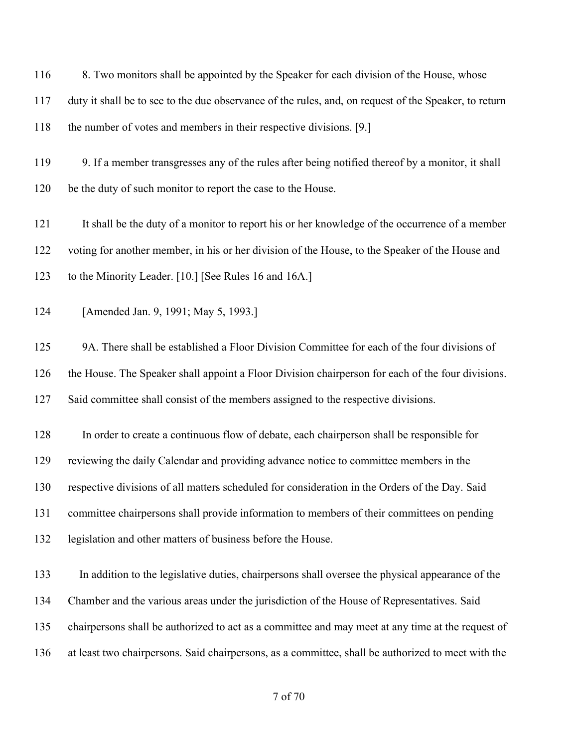116 8. Two monitors shall be appointed by the Speaker for each division of the House, whose duty it shall be to see to the due observance of the rules, and, on request of the Speaker, to return the number of votes and members in their respective divisions. [9.]

119 9. If a member transgresses any of the rules after being notified thereof by a monitor, it shall be the duty of such monitor to report the case to the House.

121 It shall be the duty of a monitor to report his or her knowledge of the occurrence of a member voting for another member, in his or her division of the House, to the Speaker of the House and to the Minority Leader. [10.] [See Rules 16 and 16A.]

124 [Amended Jan. 9, 1991; May 5, 1993.]

125 9A. There shall be established a Floor Division Committee for each of the four divisions of the House. The Speaker shall appoint a Floor Division chairperson for each of the four divisions. Said committee shall consist of the members assigned to the respective divisions.

128 In order to create a continuous flow of debate, each chairperson shall be responsible for

reviewing the daily Calendar and providing advance notice to committee members in the

respective divisions of all matters scheduled for consideration in the Orders of the Day. Said

committee chairpersons shall provide information to members of their committees on pending

legislation and other matters of business before the House.

133 In addition to the legislative duties, chairpersons shall oversee the physical appearance of the Chamber and the various areas under the jurisdiction of the House of Representatives. Said chairpersons shall be authorized to act as a committee and may meet at any time at the request of at least two chairpersons. Said chairpersons, as a committee, shall be authorized to meet with the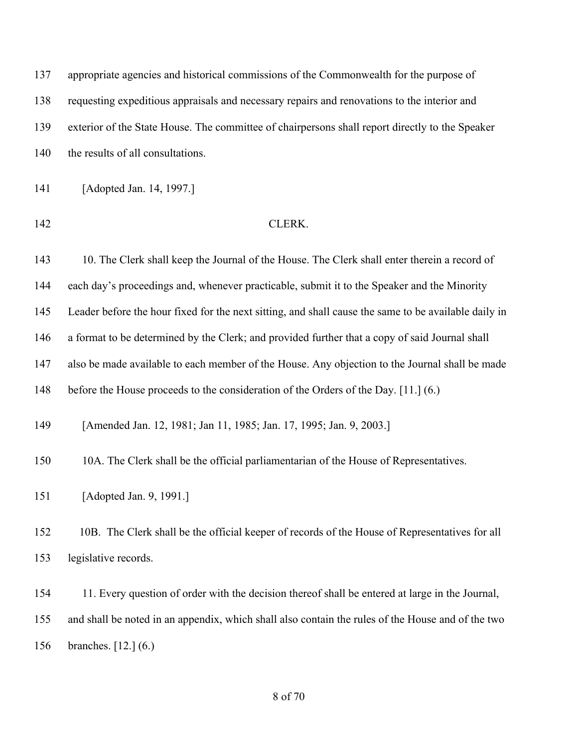| 137 | appropriate agencies and historical commissions of the Commonwealth for the purpose of               |
|-----|------------------------------------------------------------------------------------------------------|
| 138 | requesting expeditious appraisals and necessary repairs and renovations to the interior and          |
| 139 | exterior of the State House. The committee of chairpersons shall report directly to the Speaker      |
| 140 | the results of all consultations.                                                                    |
| 141 | [Adopted Jan. 14, 1997.]                                                                             |
| 142 | CLERK.                                                                                               |
| 143 | 10. The Clerk shall keep the Journal of the House. The Clerk shall enter therein a record of         |
| 144 | each day's proceedings and, whenever practicable, submit it to the Speaker and the Minority          |
| 145 | Leader before the hour fixed for the next sitting, and shall cause the same to be available daily in |
| 146 | a format to be determined by the Clerk; and provided further that a copy of said Journal shall       |
| 147 | also be made available to each member of the House. Any objection to the Journal shall be made       |
| 148 | before the House proceeds to the consideration of the Orders of the Day. [11.] (6.)                  |
| 149 | [Amended Jan. 12, 1981; Jan 11, 1985; Jan. 17, 1995; Jan. 9, 2003.]                                  |
| 150 | 10A. The Clerk shall be the official parliamentarian of the House of Representatives.                |
| 151 | [Adopted Jan. 9, 1991.]                                                                              |
| 152 | 10B. The Clerk shall be the official keeper of records of the House of Representatives for all       |
| 153 | legislative records.                                                                                 |
| 154 | 11. Every question of order with the decision thereof shall be entered at large in the Journal,      |
| 155 | and shall be noted in an appendix, which shall also contain the rules of the House and of the two    |
| 156 | branches. [12.] (6.)                                                                                 |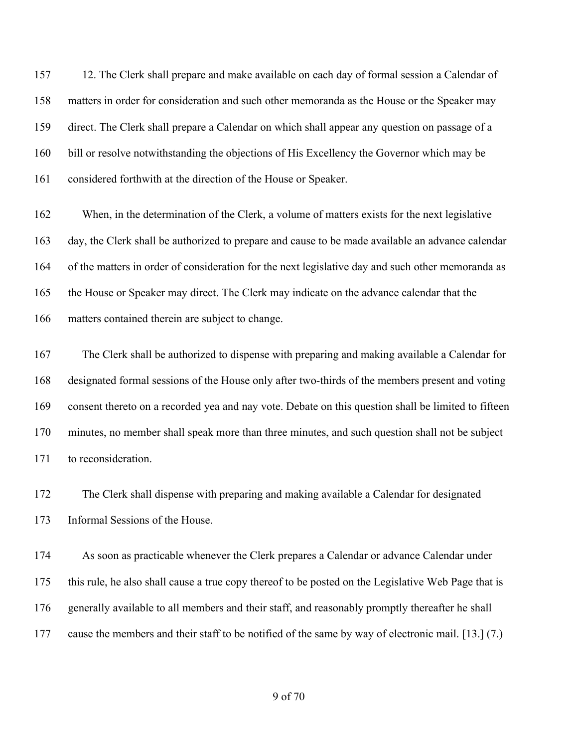157 12. The Clerk shall prepare and make available on each day of formal session a Calendar of matters in order for consideration and such other memoranda as the House or the Speaker may direct. The Clerk shall prepare a Calendar on which shall appear any question on passage of a bill or resolve notwithstanding the objections of His Excellency the Governor which may be considered forthwith at the direction of the House or Speaker.

162 When, in the determination of the Clerk, a volume of matters exists for the next legislative day, the Clerk shall be authorized to prepare and cause to be made available an advance calendar of the matters in order of consideration for the next legislative day and such other memoranda as the House or Speaker may direct. The Clerk may indicate on the advance calendar that the matters contained therein are subject to change.

167 The Clerk shall be authorized to dispense with preparing and making available a Calendar for designated formal sessions of the House only after two-thirds of the members present and voting consent thereto on a recorded yea and nay vote. Debate on this question shall be limited to fifteen minutes, no member shall speak more than three minutes, and such question shall not be subject to reconsideration.

172 The Clerk shall dispense with preparing and making available a Calendar for designated Informal Sessions of the House.

174 As soon as practicable whenever the Clerk prepares a Calendar or advance Calendar under this rule, he also shall cause a true copy thereof to be posted on the Legislative Web Page that is generally available to all members and their staff, and reasonably promptly thereafter he shall cause the members and their staff to be notified of the same by way of electronic mail. [13.] (7.)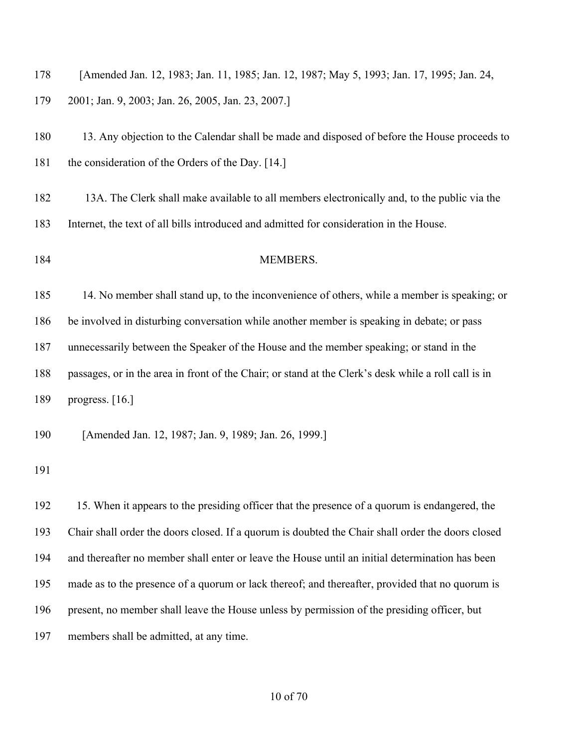| 178 | [Amended Jan. 12, 1983; Jan. 11, 1985; Jan. 12, 1987; May 5, 1993; Jan. 17, 1995; Jan. 24,           |
|-----|------------------------------------------------------------------------------------------------------|
| 179 | 2001; Jan. 9, 2003; Jan. 26, 2005, Jan. 23, 2007.]                                                   |
| 180 | 13. Any objection to the Calendar shall be made and disposed of before the House proceeds to         |
| 181 | the consideration of the Orders of the Day. [14.]                                                    |
| 182 | 13A. The Clerk shall make available to all members electronically and, to the public via the         |
| 183 | Internet, the text of all bills introduced and admitted for consideration in the House.              |
| 184 | MEMBERS.                                                                                             |
| 185 | 14. No member shall stand up, to the inconvenience of others, while a member is speaking; or         |
| 186 | be involved in disturbing conversation while another member is speaking in debate; or pass           |
| 187 | unnecessarily between the Speaker of the House and the member speaking; or stand in the              |
| 188 | passages, or in the area in front of the Chair; or stand at the Clerk's desk while a roll call is in |
| 189 | progress. $[16.]$                                                                                    |
| 190 | [Amended Jan. 12, 1987; Jan. 9, 1989; Jan. 26, 1999.]                                                |
| 191 |                                                                                                      |
| 192 | 15. When it appears to the presiding officer that the presence of a quorum is endangered, the        |
| 193 | Chair shall order the doors closed. If a quorum is doubted the Chair shall order the doors closed    |
| 194 | and thereafter no member shall enter or leave the House until an initial determination has been      |
| 195 | made as to the presence of a quorum or lack thereof; and thereafter, provided that no quorum is      |
| 196 | present, no member shall leave the House unless by permission of the presiding officer, but          |

members shall be admitted, at any time.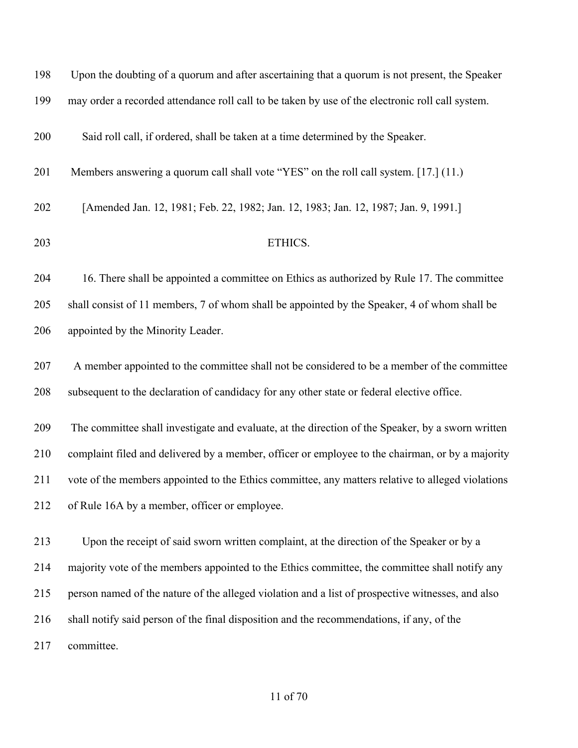| 198 | Upon the doubting of a quorum and after ascertaining that a quorum is not present, the Speaker    |
|-----|---------------------------------------------------------------------------------------------------|
| 199 | may order a recorded attendance roll call to be taken by use of the electronic roll call system.  |
| 200 | Said roll call, if ordered, shall be taken at a time determined by the Speaker.                   |
| 201 | Members answering a quorum call shall vote "YES" on the roll call system. [17.] (11.)             |
| 202 | [Amended Jan. 12, 1981; Feb. 22, 1982; Jan. 12, 1983; Jan. 12, 1987; Jan. 9, 1991.]               |
| 203 | ETHICS.                                                                                           |
| 204 | 16. There shall be appointed a committee on Ethics as authorized by Rule 17. The committee        |
| 205 | shall consist of 11 members, 7 of whom shall be appointed by the Speaker, 4 of whom shall be      |
| 206 | appointed by the Minority Leader.                                                                 |
| 207 | A member appointed to the committee shall not be considered to be a member of the committee       |
| 208 | subsequent to the declaration of candidacy for any other state or federal elective office.        |
| 209 | The committee shall investigate and evaluate, at the direction of the Speaker, by a sworn written |
| 210 | complaint filed and delivered by a member, officer or employee to the chairman, or by a majority  |
| 211 | vote of the members appointed to the Ethics committee, any matters relative to alleged violations |
| 212 | of Rule 16A by a member, officer or employee.                                                     |
| 213 | Upon the receipt of said sworn written complaint, at the direction of the Speaker or by a         |
| 214 | majority vote of the members appointed to the Ethics committee, the committee shall notify any    |
| 215 | person named of the nature of the alleged violation and a list of prospective witnesses, and also |
| 216 | shall notify said person of the final disposition and the recommendations, if any, of the         |
| 217 | committee.                                                                                        |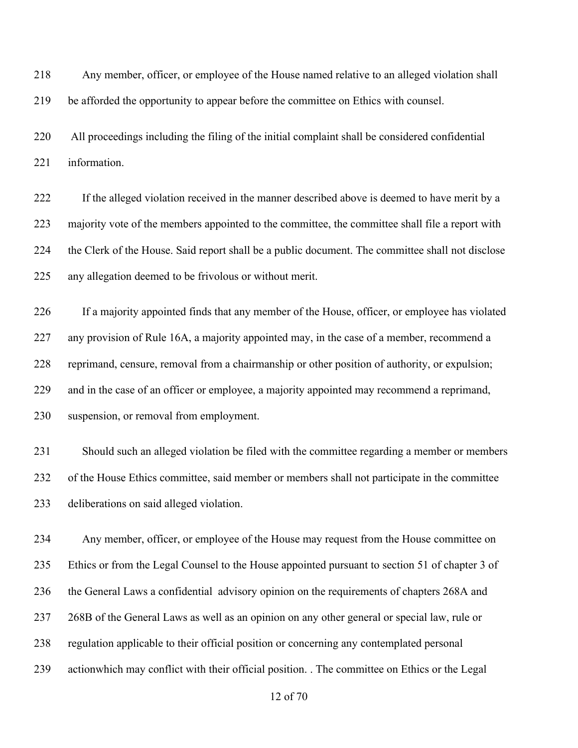218 Any member, officer, or employee of the House named relative to an alleged violation shall be afforded the opportunity to appear before the committee on Ethics with counsel.

 All proceedings including the filing of the initial complaint shall be considered confidential information.

222 If the alleged violation received in the manner described above is deemed to have merit by a 223 majority vote of the members appointed to the committee, the committee shall file a report with 224 the Clerk of the House. Said report shall be a public document. The committee shall not disclose any allegation deemed to be frivolous or without merit.

226 If a majority appointed finds that any member of the House, officer, or employee has violated any provision of Rule 16A, a majority appointed may, in the case of a member, recommend a reprimand, censure, removal from a chairmanship or other position of authority, or expulsion; and in the case of an officer or employee, a majority appointed may recommend a reprimand, suspension, or removal from employment.

231 Should such an alleged violation be filed with the committee regarding a member or members of the House Ethics committee, said member or members shall not participate in the committee deliberations on said alleged violation.

234 Any member, officer, or employee of the House may request from the House committee on Ethics or from the Legal Counsel to the House appointed pursuant to section 51 of chapter 3 of the General Laws a confidential advisory opinion on the requirements of chapters 268A and 268B of the General Laws as well as an opinion on any other general or special law, rule or regulation applicable to their official position or concerning any contemplated personal actionwhich may conflict with their official position. . The committee on Ethics or the Legal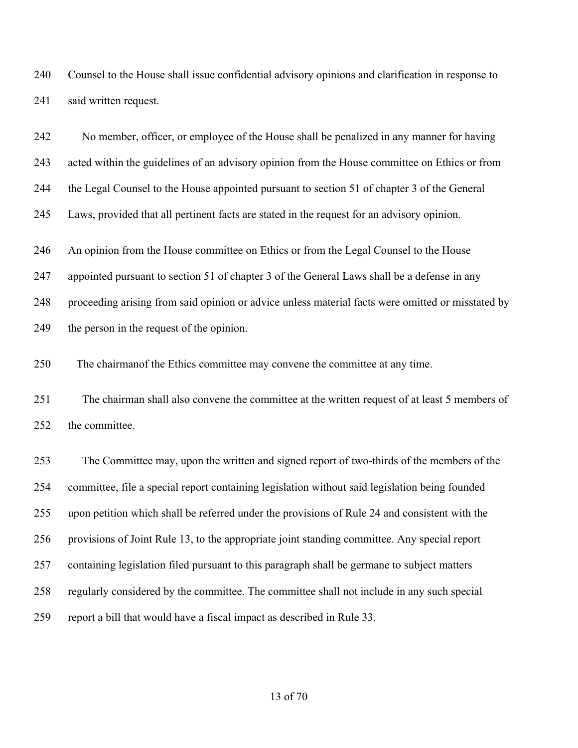Counsel to the House shall issue confidential advisory opinions and clarification in response to said written request.

242 No member, officer, or employee of the House shall be penalized in any manner for having acted within the guidelines of an advisory opinion from the House committee on Ethics or from the Legal Counsel to the House appointed pursuant to section 51 of chapter 3 of the General Laws, provided that all pertinent facts are stated in the request for an advisory opinion. An opinion from the House committee on Ethics or from the Legal Counsel to the House appointed pursuant to section 51 of chapter 3 of the General Laws shall be a defense in any proceeding arising from said opinion or advice unless material facts were omitted or misstated by the person in the request of the opinion. 250 The chairmanof the Ethics committee may convene the committee at any time. 251 The chairman shall also convene the committee at the written request of at least 5 members of the committee. 253 The Committee may, upon the written and signed report of two-thirds of the members of the committee, file a special report containing legislation without said legislation being founded upon petition which shall be referred under the provisions of Rule 24 and consistent with the provisions of Joint Rule 13, to the appropriate joint standing committee. Any special report containing legislation filed pursuant to this paragraph shall be germane to subject matters regularly considered by the committee. The committee shall not include in any such special report a bill that would have a fiscal impact as described in Rule 33.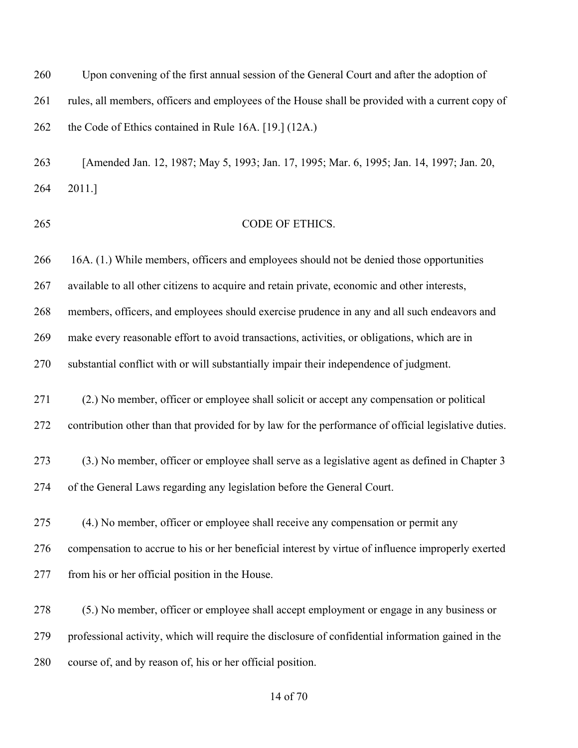260 Upon convening of the first annual session of the General Court and after the adoption of 261 rules, all members, officers and employees of the House shall be provided with a current copy of 262 the Code of Ethics contained in Rule 16A. [19.] (12A.)

263 [Amended Jan. 12, 1987; May 5, 1993; Jan. 17, 1995; Mar. 6, 1995; Jan. 14, 1997; Jan. 20, 264 2011.]

## 265 CODE OF ETHICS.

266 16A. (1.) While members, officers and employees should not be denied those opportunities

267 available to all other citizens to acquire and retain private, economic and other interests,

268 members, officers, and employees should exercise prudence in any and all such endeavors and

269 make every reasonable effort to avoid transactions, activities, or obligations, which are in

270 substantial conflict with or will substantially impair their independence of judgment.

271 (2.) No member, officer or employee shall solicit or accept any compensation or political

272 contribution other than that provided for by law for the performance of official legislative duties.

273 (3.) No member, officer or employee shall serve as a legislative agent as defined in Chapter 3 274 of the General Laws regarding any legislation before the General Court.

275 (4.) No member, officer or employee shall receive any compensation or permit any 276 compensation to accrue to his or her beneficial interest by virtue of influence improperly exerted 277 from his or her official position in the House.

278 (5.) No member, officer or employee shall accept employment or engage in any business or 279 professional activity, which will require the disclosure of confidential information gained in the 280 course of, and by reason of, his or her official position.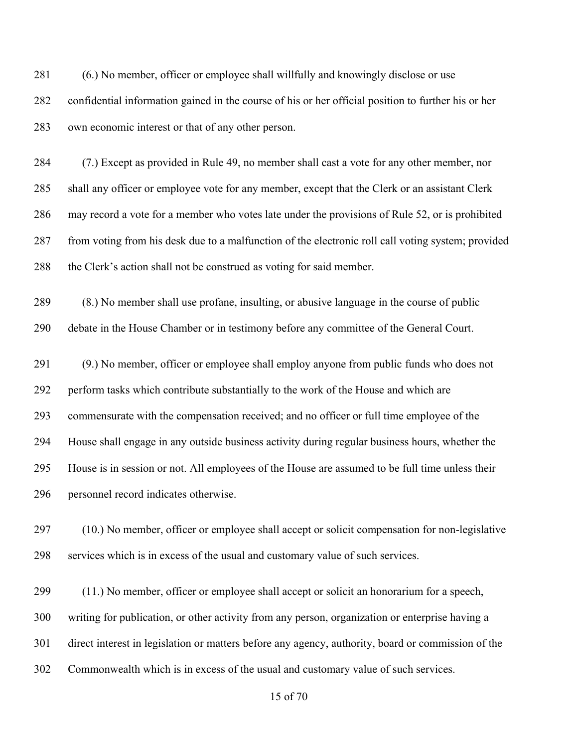281 (6.) No member, officer or employee shall willfully and knowingly disclose or use confidential information gained in the course of his or her official position to further his or her own economic interest or that of any other person.

284 (7.) Except as provided in Rule 49, no member shall cast a vote for any other member, nor shall any officer or employee vote for any member, except that the Clerk or an assistant Clerk may record a vote for a member who votes late under the provisions of Rule 52, or is prohibited from voting from his desk due to a malfunction of the electronic roll call voting system; provided the Clerk's action shall not be construed as voting for said member.

289 (8.) No member shall use profane, insulting, or abusive language in the course of public debate in the House Chamber or in testimony before any committee of the General Court.

291 (9.) No member, officer or employee shall employ anyone from public funds who does not perform tasks which contribute substantially to the work of the House and which are commensurate with the compensation received; and no officer or full time employee of the House shall engage in any outside business activity during regular business hours, whether the House is in session or not. All employees of the House are assumed to be full time unless their personnel record indicates otherwise.

297 (10.) No member, officer or employee shall accept or solicit compensation for non-legislative services which is in excess of the usual and customary value of such services.

299 (11.) No member, officer or employee shall accept or solicit an honorarium for a speech, writing for publication, or other activity from any person, organization or enterprise having a direct interest in legislation or matters before any agency, authority, board or commission of the Commonwealth which is in excess of the usual and customary value of such services.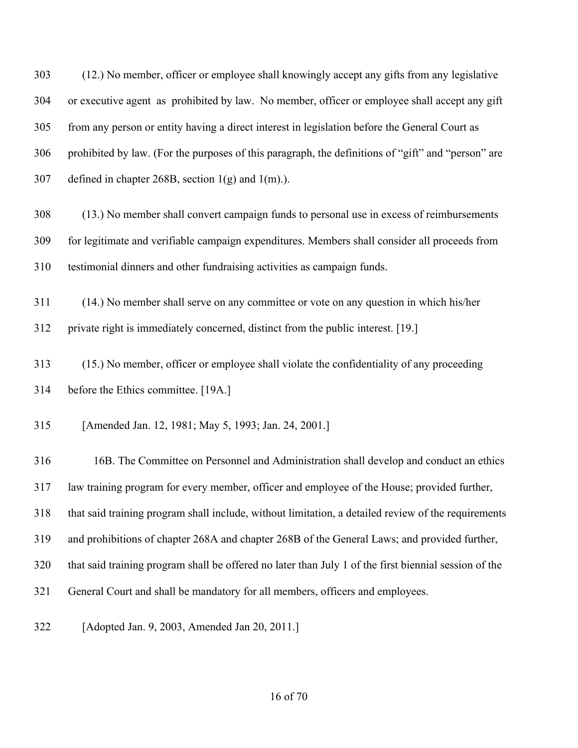303 (12.) No member, officer or employee shall knowingly accept any gifts from any legislative or executive agent as prohibited by law. No member, officer or employee shall accept any gift from any person or entity having a direct interest in legislation before the General Court as prohibited by law. (For the purposes of this paragraph, the definitions of "gift" and "person" are 307 defined in chapter 268B, section  $1(g)$  and  $1(m)$ .

308 (13.) No member shall convert campaign funds to personal use in excess of reimbursements for legitimate and verifiable campaign expenditures. Members shall consider all proceeds from testimonial dinners and other fundraising activities as campaign funds.

311 (14.) No member shall serve on any committee or vote on any question in which his/her private right is immediately concerned, distinct from the public interest. [19.]

313 (15.) No member, officer or employee shall violate the confidentiality of any proceeding before the Ethics committee. [19A.]

315 [Amended Jan. 12, 1981; May 5, 1993; Jan. 24, 2001.]

316 16B. The Committee on Personnel and Administration shall develop and conduct an ethics law training program for every member, officer and employee of the House; provided further, that said training program shall include, without limitation, a detailed review of the requirements and prohibitions of chapter 268A and chapter 268B of the General Laws; and provided further, that said training program shall be offered no later than July 1 of the first biennial session of the General Court and shall be mandatory for all members, officers and employees.

322 [Adopted Jan. 9, 2003, Amended Jan 20, 2011.]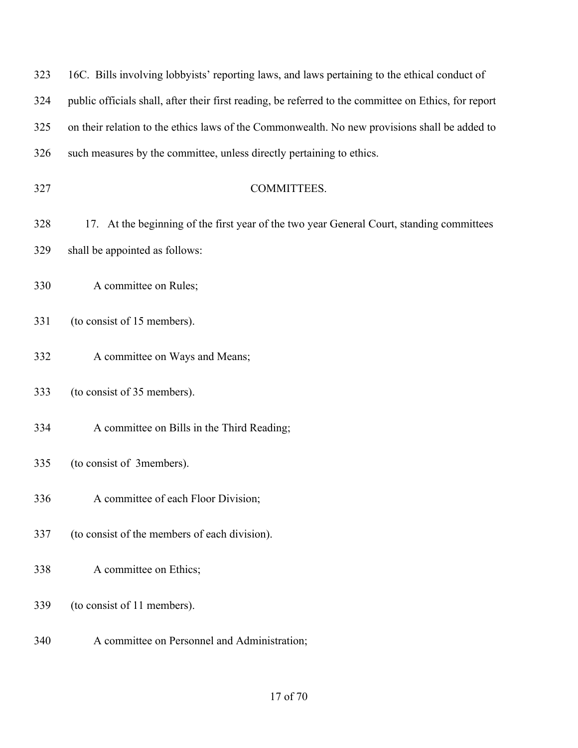| 323 | 16C. Bills involving lobbyists' reporting laws, and laws pertaining to the ethical conduct of         |
|-----|-------------------------------------------------------------------------------------------------------|
| 324 | public officials shall, after their first reading, be referred to the committee on Ethics, for report |
| 325 | on their relation to the ethics laws of the Commonwealth. No new provisions shall be added to         |
| 326 | such measures by the committee, unless directly pertaining to ethics.                                 |
| 327 | COMMITTEES.                                                                                           |
| 328 | 17. At the beginning of the first year of the two year General Court, standing committees             |
| 329 | shall be appointed as follows:                                                                        |
| 330 | A committee on Rules;                                                                                 |
| 331 | (to consist of 15 members).                                                                           |
| 332 | A committee on Ways and Means;                                                                        |
| 333 | (to consist of 35 members).                                                                           |
| 334 | A committee on Bills in the Third Reading;                                                            |
| 335 | (to consist of 3members).                                                                             |
| 336 | A committee of each Floor Division;                                                                   |
| 337 | (to consist of the members of each division).                                                         |
| 338 | A committee on Ethics;                                                                                |
| 339 | (to consist of 11 members).                                                                           |
| 340 | A committee on Personnel and Administration;                                                          |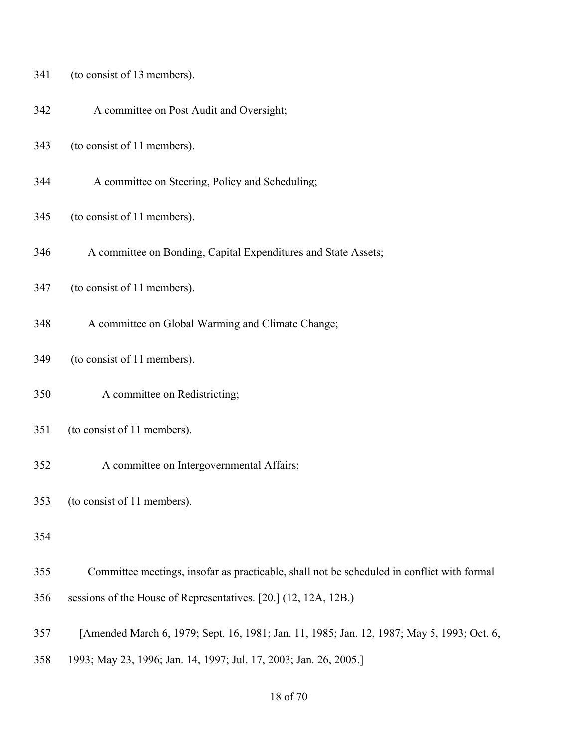| 341 | (to consist of 13 members).                                                                |
|-----|--------------------------------------------------------------------------------------------|
| 342 | A committee on Post Audit and Oversight;                                                   |
| 343 | (to consist of 11 members).                                                                |
| 344 | A committee on Steering, Policy and Scheduling;                                            |
| 345 | (to consist of 11 members).                                                                |
| 346 | A committee on Bonding, Capital Expenditures and State Assets;                             |
| 347 | (to consist of 11 members).                                                                |
| 348 | A committee on Global Warming and Climate Change;                                          |
| 349 | (to consist of 11 members).                                                                |
| 350 | A committee on Redistricting;                                                              |
| 351 | (to consist of 11 members).                                                                |
| 352 | A committee on Intergovernmental Affairs;                                                  |
| 353 | (to consist of 11 members).                                                                |
| 354 |                                                                                            |
| 355 | Committee meetings, insofar as practicable, shall not be scheduled in conflict with formal |
| 356 | sessions of the House of Representatives. [20.] (12, 12A, 12B.)                            |
| 357 | [Amended March 6, 1979; Sept. 16, 1981; Jan. 11, 1985; Jan. 12, 1987; May 5, 1993; Oct. 6, |
| 358 | 1993; May 23, 1996; Jan. 14, 1997; Jul. 17, 2003; Jan. 26, 2005.]                          |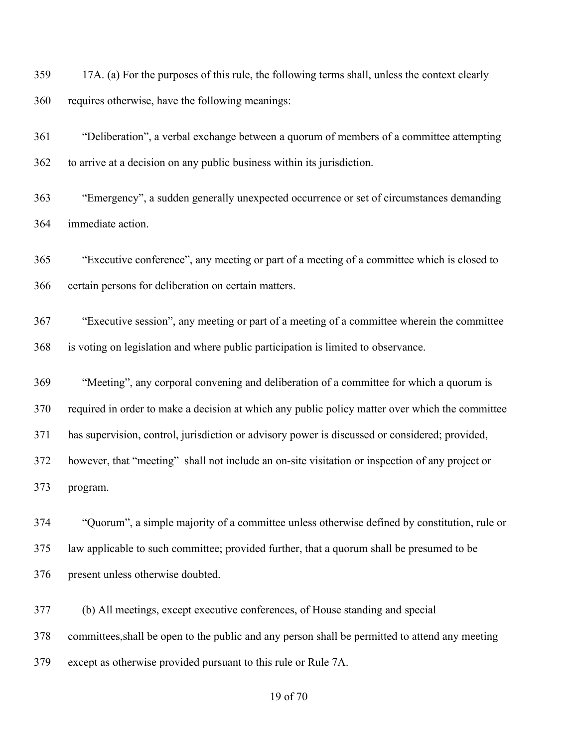359 17A. (a) For the purposes of this rule, the following terms shall, unless the context clearly requires otherwise, have the following meanings:

361 "Deliberation", a verbal exchange between a quorum of members of a committee attempting to arrive at a decision on any public business within its jurisdiction.

363 "Emergency", a sudden generally unexpected occurrence or set of circumstances demanding immediate action.

365 "Executive conference", any meeting or part of a meeting of a committee which is closed to certain persons for deliberation on certain matters.

367 "Executive session", any meeting or part of a meeting of a committee wherein the committee is voting on legislation and where public participation is limited to observance.

369 "Meeting", any corporal convening and deliberation of a committee for which a quorum is required in order to make a decision at which any public policy matter over which the committee has supervision, control, jurisdiction or advisory power is discussed or considered; provided, however, that "meeting" shall not include an on-site visitation or inspection of any project or program.

374 "Quorum", a simple majority of a committee unless otherwise defined by constitution, rule or law applicable to such committee; provided further, that a quorum shall be presumed to be present unless otherwise doubted.

377 (b) All meetings, except executive conferences, of House standing and special committees,shall be open to the public and any person shall be permitted to attend any meeting except as otherwise provided pursuant to this rule or Rule 7A.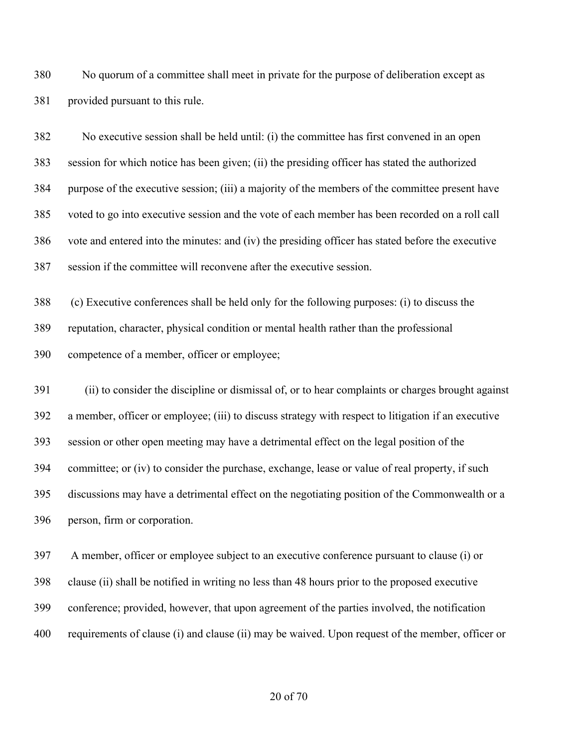380 No quorum of a committee shall meet in private for the purpose of deliberation except as provided pursuant to this rule.

382 No executive session shall be held until: (i) the committee has first convened in an open session for which notice has been given; (ii) the presiding officer has stated the authorized purpose of the executive session; (iii) a majority of the members of the committee present have voted to go into executive session and the vote of each member has been recorded on a roll call vote and entered into the minutes: and (iv) the presiding officer has stated before the executive session if the committee will reconvene after the executive session.

(c) Executive conferences shall be held only for the following purposes: (i) to discuss the

reputation, character, physical condition or mental health rather than the professional

competence of a member, officer or employee;

391 (ii) to consider the discipline or dismissal of, or to hear complaints or charges brought against a member, officer or employee; (iii) to discuss strategy with respect to litigation if an executive session or other open meeting may have a detrimental effect on the legal position of the committee; or (iv) to consider the purchase, exchange, lease or value of real property, if such discussions may have a detrimental effect on the negotiating position of the Commonwealth or a person, firm or corporation.

 A member, officer or employee subject to an executive conference pursuant to clause (i) or clause (ii) shall be notified in writing no less than 48 hours prior to the proposed executive conference; provided, however, that upon agreement of the parties involved, the notification requirements of clause (i) and clause (ii) may be waived. Upon request of the member, officer or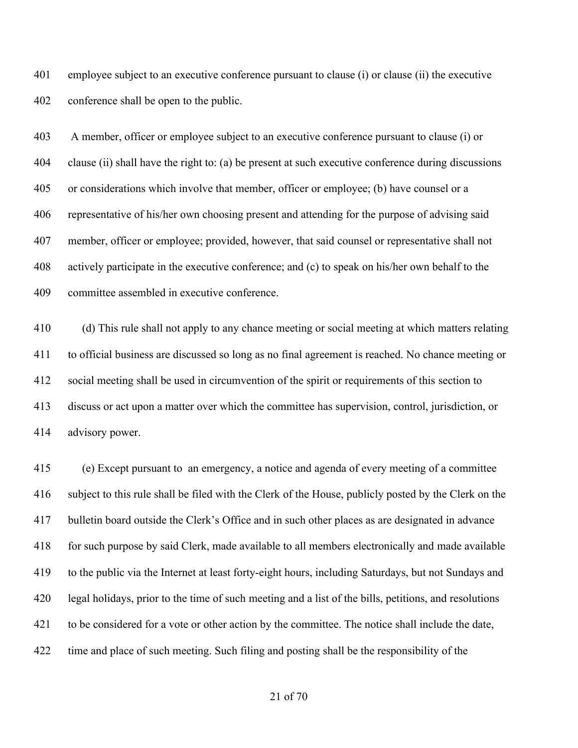employee subject to an executive conference pursuant to clause (i) or clause (ii) the executive conference shall be open to the public.

 A member, officer or employee subject to an executive conference pursuant to clause (i) or clause (ii) shall have the right to: (a) be present at such executive conference during discussions or considerations which involve that member, officer or employee; (b) have counsel or a representative of his/her own choosing present and attending for the purpose of advising said member, officer or employee; provided, however, that said counsel or representative shall not actively participate in the executive conference; and (c) to speak on his/her own behalf to the committee assembled in executive conference.

410 (d) This rule shall not apply to any chance meeting or social meeting at which matters relating to official business are discussed so long as no final agreement is reached. No chance meeting or social meeting shall be used in circumvention of the spirit or requirements of this section to discuss or act upon a matter over which the committee has supervision, control, jurisdiction, or advisory power.

415 (e) Except pursuant to an emergency, a notice and agenda of every meeting of a committee subject to this rule shall be filed with the Clerk of the House, publicly posted by the Clerk on the bulletin board outside the Clerk's Office and in such other places as are designated in advance for such purpose by said Clerk, made available to all members electronically and made available to the public via the Internet at least forty-eight hours, including Saturdays, but not Sundays and legal holidays, prior to the time of such meeting and a list of the bills, petitions, and resolutions to be considered for a vote or other action by the committee. The notice shall include the date, time and place of such meeting. Such filing and posting shall be the responsibility of the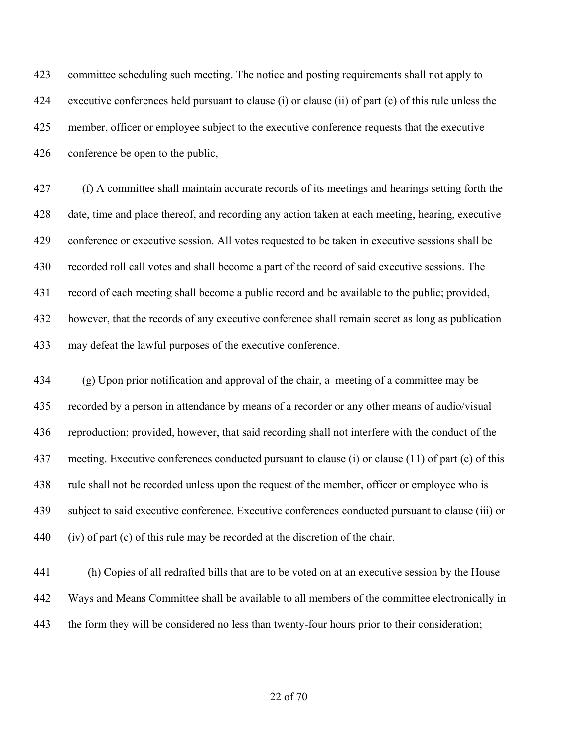committee scheduling such meeting. The notice and posting requirements shall not apply to executive conferences held pursuant to clause (i) or clause (ii) of part (c) of this rule unless the member, officer or employee subject to the executive conference requests that the executive conference be open to the public,

427 (f) A committee shall maintain accurate records of its meetings and hearings setting forth the date, time and place thereof, and recording any action taken at each meeting, hearing, executive conference or executive session. All votes requested to be taken in executive sessions shall be recorded roll call votes and shall become a part of the record of said executive sessions. The record of each meeting shall become a public record and be available to the public; provided, however, that the records of any executive conference shall remain secret as long as publication may defeat the lawful purposes of the executive conference.

434 (g) Upon prior notification and approval of the chair, a meeting of a committee may be recorded by a person in attendance by means of a recorder or any other means of audio/visual reproduction; provided, however, that said recording shall not interfere with the conduct of the meeting. Executive conferences conducted pursuant to clause (i) or clause (11) of part (c) of this rule shall not be recorded unless upon the request of the member, officer or employee who is subject to said executive conference. Executive conferences conducted pursuant to clause (iii) or (iv) of part (c) of this rule may be recorded at the discretion of the chair.

441 (h) Copies of all redrafted bills that are to be voted on at an executive session by the House Ways and Means Committee shall be available to all members of the committee electronically in the form they will be considered no less than twenty-four hours prior to their consideration;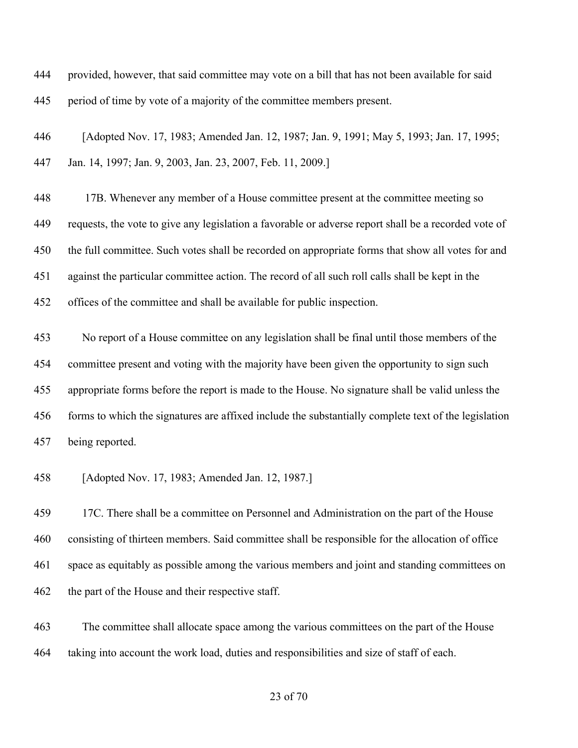provided, however, that said committee may vote on a bill that has not been available for said period of time by vote of a majority of the committee members present.

446 [Adopted Nov. 17, 1983; Amended Jan. 12, 1987; Jan. 9, 1991; May 5, 1993; Jan. 17, 1995;

Jan. 14, 1997; Jan. 9, 2003, Jan. 23, 2007, Feb. 11, 2009.]

448 17B. Whenever any member of a House committee present at the committee meeting so requests, the vote to give any legislation a favorable or adverse report shall be a recorded vote of the full committee. Such votes shall be recorded on appropriate forms that show all votes for and against the particular committee action. The record of all such roll calls shall be kept in the

offices of the committee and shall be available for public inspection.

453 No report of a House committee on any legislation shall be final until those members of the committee present and voting with the majority have been given the opportunity to sign such appropriate forms before the report is made to the House. No signature shall be valid unless the forms to which the signatures are affixed include the substantially complete text of the legislation being reported.

458 [Adopted Nov. 17, 1983; Amended Jan. 12, 1987.]

459 17C. There shall be a committee on Personnel and Administration on the part of the House consisting of thirteen members. Said committee shall be responsible for the allocation of office space as equitably as possible among the various members and joint and standing committees on 462 the part of the House and their respective staff.

463 The committee shall allocate space among the various committees on the part of the House taking into account the work load, duties and responsibilities and size of staff of each.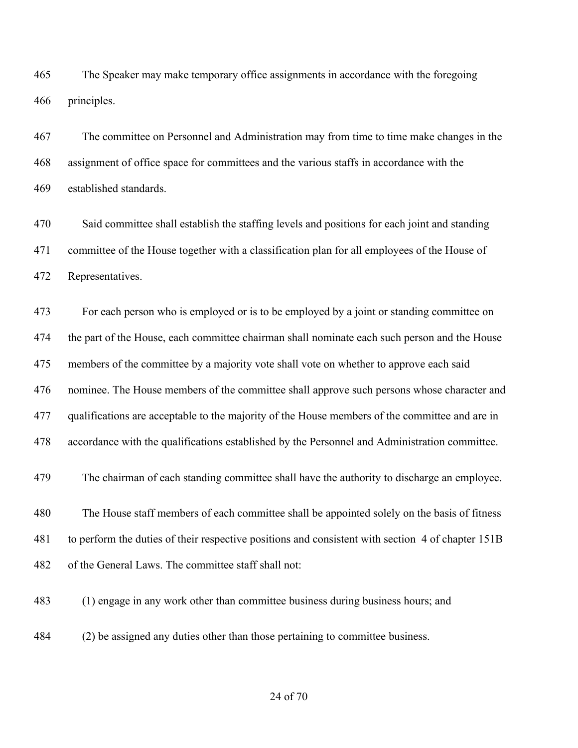465 The Speaker may make temporary office assignments in accordance with the foregoing principles.

467 The committee on Personnel and Administration may from time to time make changes in the assignment of office space for committees and the various staffs in accordance with the established standards.

470 Said committee shall establish the staffing levels and positions for each joint and standing committee of the House together with a classification plan for all employees of the House of Representatives.

473 For each person who is employed or is to be employed by a joint or standing committee on the part of the House, each committee chairman shall nominate each such person and the House members of the committee by a majority vote shall vote on whether to approve each said nominee. The House members of the committee shall approve such persons whose character and qualifications are acceptable to the majority of the House members of the committee and are in accordance with the qualifications established by the Personnel and Administration committee.

479 The chairman of each standing committee shall have the authority to discharge an employee.

480 The House staff members of each committee shall be appointed solely on the basis of fitness to perform the duties of their respective positions and consistent with section 4 of chapter 151B of the General Laws. The committee staff shall not:

483 (1) engage in any work other than committee business during business hours; and

484 (2) be assigned any duties other than those pertaining to committee business.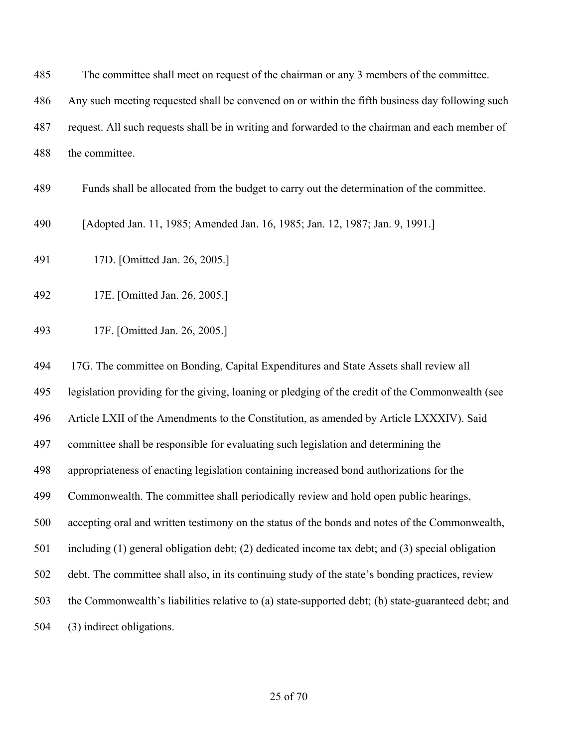| 485 | The committee shall meet on request of the chairman or any 3 members of the committee.          |
|-----|-------------------------------------------------------------------------------------------------|
| 486 | Any such meeting requested shall be convened on or within the fifth business day following such |
| 487 | request. All such requests shall be in writing and forwarded to the chairman and each member of |
| 488 | the committee.                                                                                  |
| 489 | Funds shall be allocated from the budget to carry out the determination of the committee.       |

- 490 [Adopted Jan. 11, 1985; Amended Jan. 16, 1985; Jan. 12, 1987; Jan. 9, 1991.]
- 491 17D. [Omitted Jan. 26, 2005.]
- 492 17E. [Omitted Jan. 26, 2005.]
- 493 17F. [Omitted Jan. 26, 2005.]

 17G. The committee on Bonding, Capital Expenditures and State Assets shall review all legislation providing for the giving, loaning or pledging of the credit of the Commonwealth (see Article LXII of the Amendments to the Constitution, as amended by Article LXXXIV). Said committee shall be responsible for evaluating such legislation and determining the appropriateness of enacting legislation containing increased bond authorizations for the Commonwealth. The committee shall periodically review and hold open public hearings, accepting oral and written testimony on the status of the bonds and notes of the Commonwealth, including (1) general obligation debt; (2) dedicated income tax debt; and (3) special obligation debt. The committee shall also, in its continuing study of the state's bonding practices, review the Commonwealth's liabilities relative to (a) state-supported debt; (b) state-guaranteed debt; and (3) indirect obligations.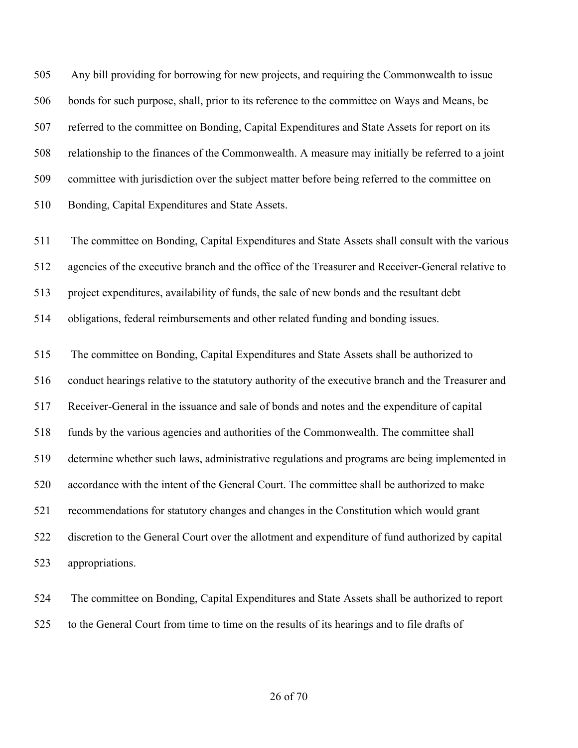Any bill providing for borrowing for new projects, and requiring the Commonwealth to issue bonds for such purpose, shall, prior to its reference to the committee on Ways and Means, be referred to the committee on Bonding, Capital Expenditures and State Assets for report on its relationship to the finances of the Commonwealth. A measure may initially be referred to a joint committee with jurisdiction over the subject matter before being referred to the committee on Bonding, Capital Expenditures and State Assets.

 The committee on Bonding, Capital Expenditures and State Assets shall consult with the various agencies of the executive branch and the office of the Treasurer and Receiver-General relative to project expenditures, availability of funds, the sale of new bonds and the resultant debt

obligations, federal reimbursements and other related funding and bonding issues.

 The committee on Bonding, Capital Expenditures and State Assets shall be authorized to conduct hearings relative to the statutory authority of the executive branch and the Treasurer and Receiver-General in the issuance and sale of bonds and notes and the expenditure of capital funds by the various agencies and authorities of the Commonwealth. The committee shall determine whether such laws, administrative regulations and programs are being implemented in accordance with the intent of the General Court. The committee shall be authorized to make recommendations for statutory changes and changes in the Constitution which would grant discretion to the General Court over the allotment and expenditure of fund authorized by capital appropriations.

 The committee on Bonding, Capital Expenditures and State Assets shall be authorized to report to the General Court from time to time on the results of its hearings and to file drafts of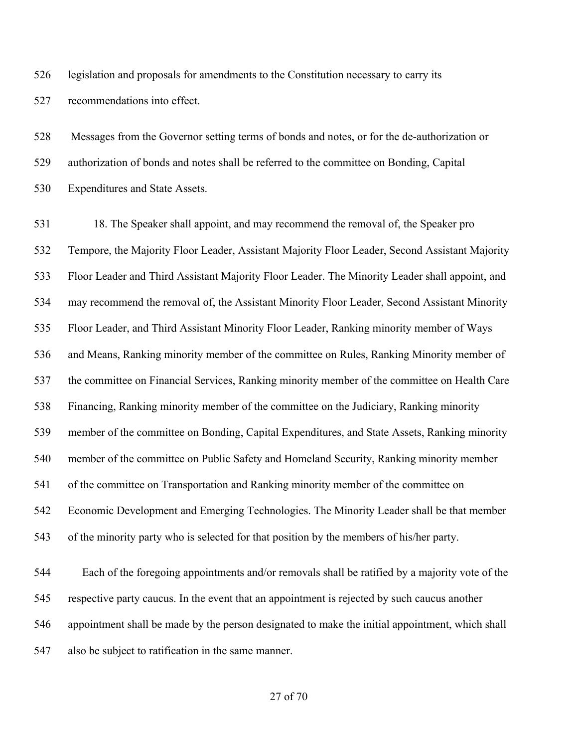legislation and proposals for amendments to the Constitution necessary to carry its recommendations into effect.

 Messages from the Governor setting terms of bonds and notes, or for the de-authorization or authorization of bonds and notes shall be referred to the committee on Bonding, Capital Expenditures and State Assets.

531 18. The Speaker shall appoint, and may recommend the removal of, the Speaker pro Tempore, the Majority Floor Leader, Assistant Majority Floor Leader, Second Assistant Majority Floor Leader and Third Assistant Majority Floor Leader. The Minority Leader shall appoint, and may recommend the removal of, the Assistant Minority Floor Leader, Second Assistant Minority Floor Leader, and Third Assistant Minority Floor Leader, Ranking minority member of Ways and Means, Ranking minority member of the committee on Rules, Ranking Minority member of the committee on Financial Services, Ranking minority member of the committee on Health Care Financing, Ranking minority member of the committee on the Judiciary, Ranking minority member of the committee on Bonding, Capital Expenditures, and State Assets, Ranking minority member of the committee on Public Safety and Homeland Security, Ranking minority member of the committee on Transportation and Ranking minority member of the committee on Economic Development and Emerging Technologies. The Minority Leader shall be that member of the minority party who is selected for that position by the members of his/her party. 544 Each of the foregoing appointments and/or removals shall be ratified by a majority vote of the respective party caucus. In the event that an appointment is rejected by such caucus another appointment shall be made by the person designated to make the initial appointment, which shall

also be subject to ratification in the same manner.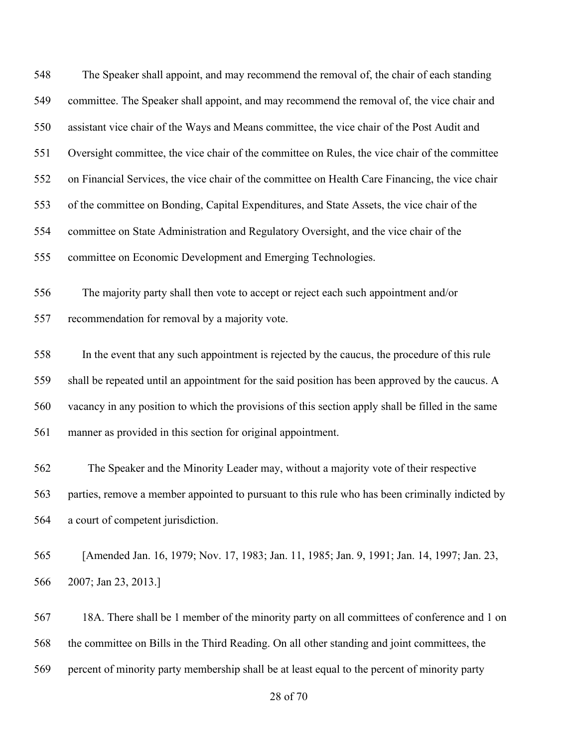| 548 | The Speaker shall appoint, and may recommend the removal of, the chair of each standing           |
|-----|---------------------------------------------------------------------------------------------------|
| 549 | committee. The Speaker shall appoint, and may recommend the removal of, the vice chair and        |
| 550 | assistant vice chair of the Ways and Means committee, the vice chair of the Post Audit and        |
| 551 | Oversight committee, the vice chair of the committee on Rules, the vice chair of the committee    |
| 552 | on Financial Services, the vice chair of the committee on Health Care Financing, the vice chair   |
| 553 | of the committee on Bonding, Capital Expenditures, and State Assets, the vice chair of the        |
| 554 | committee on State Administration and Regulatory Oversight, and the vice chair of the             |
| 555 | committee on Economic Development and Emerging Technologies.                                      |
| 556 | The majority party shall then vote to accept or reject each such appointment and/or               |
| 557 | recommendation for removal by a majority vote.                                                    |
| 558 | In the event that any such appointment is rejected by the caucus, the procedure of this rule      |
| 559 | shall be repeated until an appointment for the said position has been approved by the caucus. A   |
| 560 | vacancy in any position to which the provisions of this section apply shall be filled in the same |
| 561 | manner as provided in this section for original appointment.                                      |
| 562 | The Speaker and the Minority Leader may, without a majority vote of their respective              |
| 563 | parties, remove a member appointed to pursuant to this rule who has been criminally indicted by   |
| 564 | a court of competent jurisdiction.                                                                |
| 565 | [Amended Jan. 16, 1979; Nov. 17, 1983; Jan. 11, 1985; Jan. 9, 1991; Jan. 14, 1997; Jan. 23,       |
| 566 | 2007; Jan 23, 2013.]                                                                              |
| 567 | 18A. There shall be 1 member of the minority party on all committees of conference and 1 on       |
| 568 | the committee on Bills in the Third Reading. On all other standing and joint committees, the      |

percent of minority party membership shall be at least equal to the percent of minority party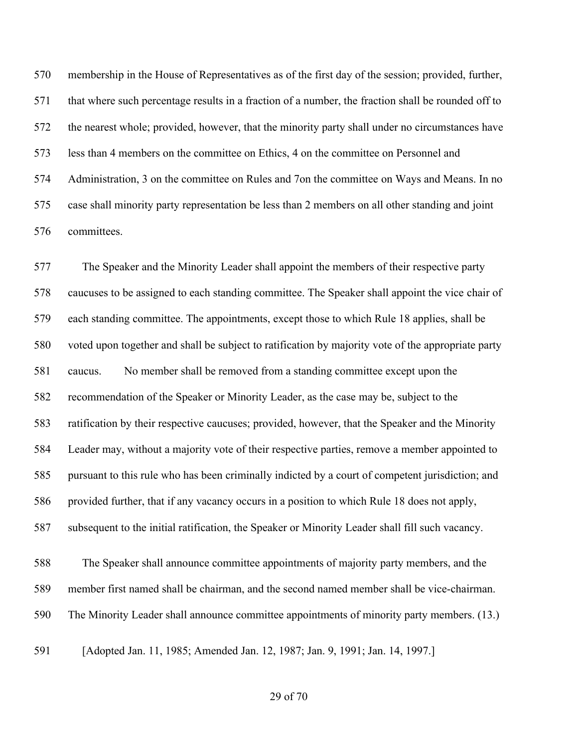membership in the House of Representatives as of the first day of the session; provided, further, that where such percentage results in a fraction of a number, the fraction shall be rounded off to the nearest whole; provided, however, that the minority party shall under no circumstances have less than 4 members on the committee on Ethics, 4 on the committee on Personnel and Administration, 3 on the committee on Rules and 7on the committee on Ways and Means. In no case shall minority party representation be less than 2 members on all other standing and joint committees.

577 The Speaker and the Minority Leader shall appoint the members of their respective party caucuses to be assigned to each standing committee. The Speaker shall appoint the vice chair of each standing committee. The appointments, except those to which Rule 18 applies, shall be voted upon together and shall be subject to ratification by majority vote of the appropriate party caucus. No member shall be removed from a standing committee except upon the recommendation of the Speaker or Minority Leader, as the case may be, subject to the ratification by their respective caucuses; provided, however, that the Speaker and the Minority Leader may, without a majority vote of their respective parties, remove a member appointed to pursuant to this rule who has been criminally indicted by a court of competent jurisdiction; and provided further, that if any vacancy occurs in a position to which Rule 18 does not apply, subsequent to the initial ratification, the Speaker or Minority Leader shall fill such vacancy.

588 The Speaker shall announce committee appointments of majority party members, and the member first named shall be chairman, and the second named member shall be vice-chairman. The Minority Leader shall announce committee appointments of minority party members. (13.)

591 [Adopted Jan. 11, 1985; Amended Jan. 12, 1987; Jan. 9, 1991; Jan. 14, 1997.]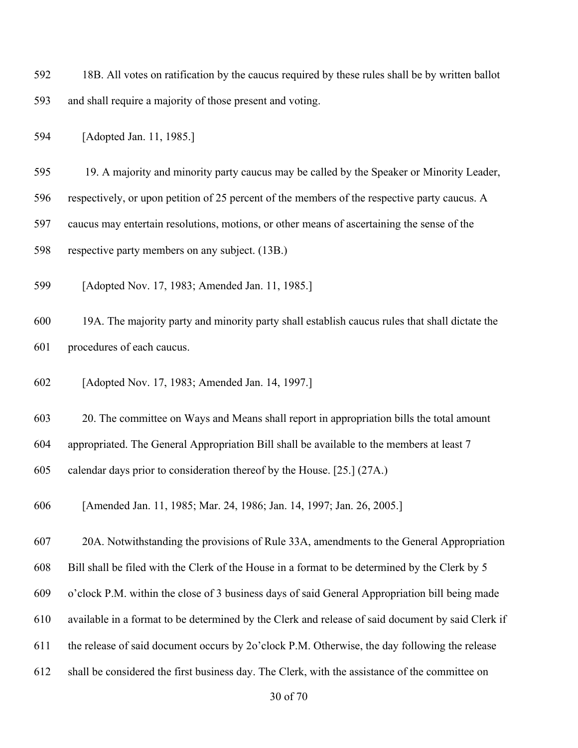| 592 | 18B. All votes on ratification by the caucus required by these rules shall be by written ballot |
|-----|-------------------------------------------------------------------------------------------------|
| 593 | and shall require a majority of those present and voting.                                       |

594 [Adopted Jan. 11, 1985.]

595 19. A majority and minority party caucus may be called by the Speaker or Minority Leader,

596 respectively, or upon petition of 25 percent of the members of the respective party caucus. A

597 caucus may entertain resolutions, motions, or other means of ascertaining the sense of the

- 598 respective party members on any subject. (13B.)
- 599 [Adopted Nov. 17, 1983; Amended Jan. 11, 1985.]

600 19A. The majority party and minority party shall establish caucus rules that shall dictate the 601 procedures of each caucus.

602 [Adopted Nov. 17, 1983; Amended Jan. 14, 1997.]

603 20. The committee on Ways and Means shall report in appropriation bills the total amount

604 appropriated. The General Appropriation Bill shall be available to the members at least 7

605 calendar days prior to consideration thereof by the House. [25.] (27A.)

606 [Amended Jan. 11, 1985; Mar. 24, 1986; Jan. 14, 1997; Jan. 26, 2005.]

607 20A. Notwithstanding the provisions of Rule 33A, amendments to the General Appropriation

608 Bill shall be filed with the Clerk of the House in a format to be determined by the Clerk by 5

- 609 o'clock P.M. within the close of 3 business days of said General Appropriation bill being made
- 610 available in a format to be determined by the Clerk and release of said document by said Clerk if
- 611 the release of said document occurs by 2o'clock P.M. Otherwise, the day following the release
- 612 shall be considered the first business day. The Clerk, with the assistance of the committee on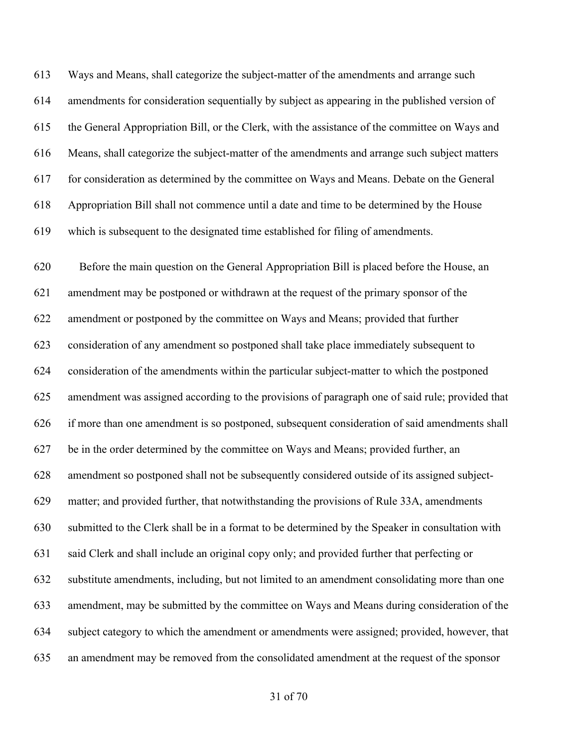Ways and Means, shall categorize the subject-matter of the amendments and arrange such amendments for consideration sequentially by subject as appearing in the published version of the General Appropriation Bill, or the Clerk, with the assistance of the committee on Ways and Means, shall categorize the subject-matter of the amendments and arrange such subject matters for consideration as determined by the committee on Ways and Means. Debate on the General Appropriation Bill shall not commence until a date and time to be determined by the House which is subsequent to the designated time established for filing of amendments.

620 Before the main question on the General Appropriation Bill is placed before the House, an amendment may be postponed or withdrawn at the request of the primary sponsor of the amendment or postponed by the committee on Ways and Means; provided that further consideration of any amendment so postponed shall take place immediately subsequent to consideration of the amendments within the particular subject-matter to which the postponed amendment was assigned according to the provisions of paragraph one of said rule; provided that if more than one amendment is so postponed, subsequent consideration of said amendments shall be in the order determined by the committee on Ways and Means; provided further, an amendment so postponed shall not be subsequently considered outside of its assigned subject- matter; and provided further, that notwithstanding the provisions of Rule 33A, amendments submitted to the Clerk shall be in a format to be determined by the Speaker in consultation with said Clerk and shall include an original copy only; and provided further that perfecting or substitute amendments, including, but not limited to an amendment consolidating more than one amendment, may be submitted by the committee on Ways and Means during consideration of the subject category to which the amendment or amendments were assigned; provided, however, that an amendment may be removed from the consolidated amendment at the request of the sponsor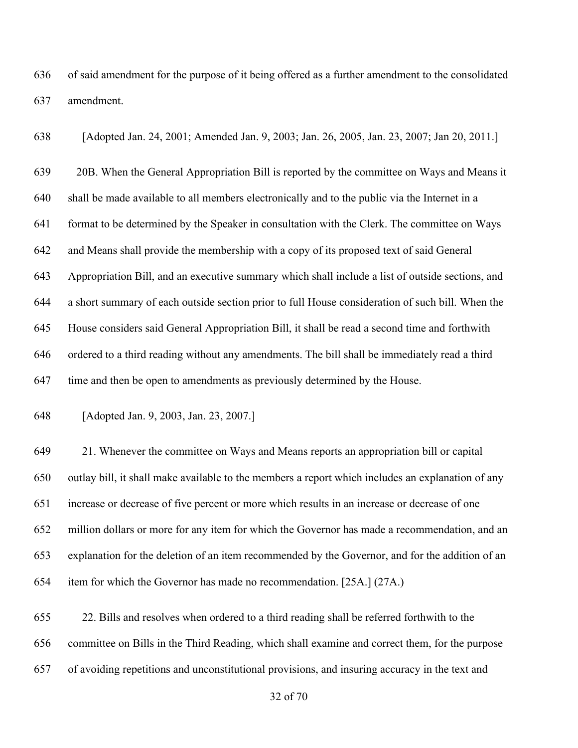of said amendment for the purpose of it being offered as a further amendment to the consolidated amendment.

638 [Adopted Jan. 24, 2001; Amended Jan. 9, 2003; Jan. 26, 2005, Jan. 23, 2007; Jan 20, 2011.]

639 20B. When the General Appropriation Bill is reported by the committee on Ways and Means it shall be made available to all members electronically and to the public via the Internet in a format to be determined by the Speaker in consultation with the Clerk. The committee on Ways and Means shall provide the membership with a copy of its proposed text of said General Appropriation Bill, and an executive summary which shall include a list of outside sections, and a short summary of each outside section prior to full House consideration of such bill. When the House considers said General Appropriation Bill, it shall be read a second time and forthwith ordered to a third reading without any amendments. The bill shall be immediately read a third time and then be open to amendments as previously determined by the House.

648 [Adopted Jan. 9, 2003, Jan. 23, 2007.]

649 21. Whenever the committee on Ways and Means reports an appropriation bill or capital outlay bill, it shall make available to the members a report which includes an explanation of any increase or decrease of five percent or more which results in an increase or decrease of one million dollars or more for any item for which the Governor has made a recommendation, and an explanation for the deletion of an item recommended by the Governor, and for the addition of an item for which the Governor has made no recommendation. [25A.] (27A.)

655 22. Bills and resolves when ordered to a third reading shall be referred forthwith to the committee on Bills in the Third Reading, which shall examine and correct them, for the purpose of avoiding repetitions and unconstitutional provisions, and insuring accuracy in the text and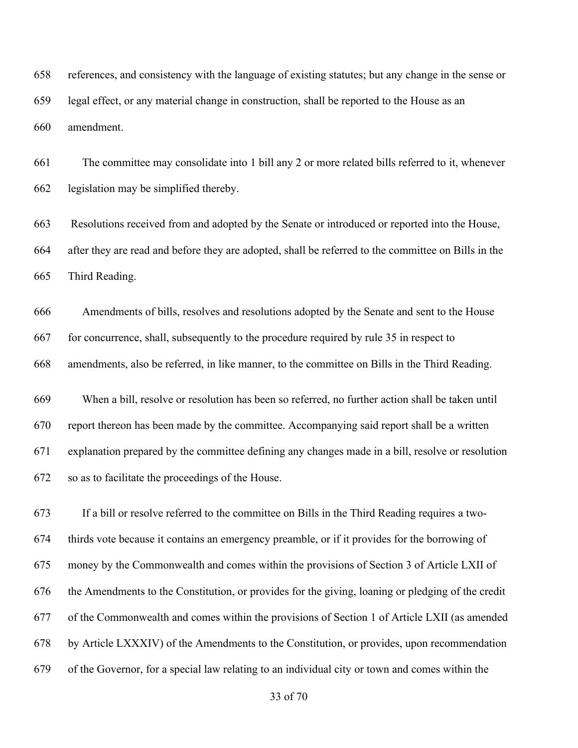references, and consistency with the language of existing statutes; but any change in the sense or legal effect, or any material change in construction, shall be reported to the House as an amendment.

661 The committee may consolidate into 1 bill any 2 or more related bills referred to it, whenever legislation may be simplified thereby.

 Resolutions received from and adopted by the Senate or introduced or reported into the House, after they are read and before they are adopted, shall be referred to the committee on Bills in the Third Reading.

666 Amendments of bills, resolves and resolutions adopted by the Senate and sent to the House for concurrence, shall, subsequently to the procedure required by rule 35 in respect to amendments, also be referred, in like manner, to the committee on Bills in the Third Reading.

669 When a bill, resolve or resolution has been so referred, no further action shall be taken until report thereon has been made by the committee. Accompanying said report shall be a written explanation prepared by the committee defining any changes made in a bill, resolve or resolution so as to facilitate the proceedings of the House.

673 If a bill or resolve referred to the committee on Bills in the Third Reading requires a two- thirds vote because it contains an emergency preamble, or if it provides for the borrowing of money by the Commonwealth and comes within the provisions of Section 3 of Article LXII of the Amendments to the Constitution, or provides for the giving, loaning or pledging of the credit of the Commonwealth and comes within the provisions of Section 1 of Article LXII (as amended by Article LXXXIV) of the Amendments to the Constitution, or provides, upon recommendation of the Governor, for a special law relating to an individual city or town and comes within the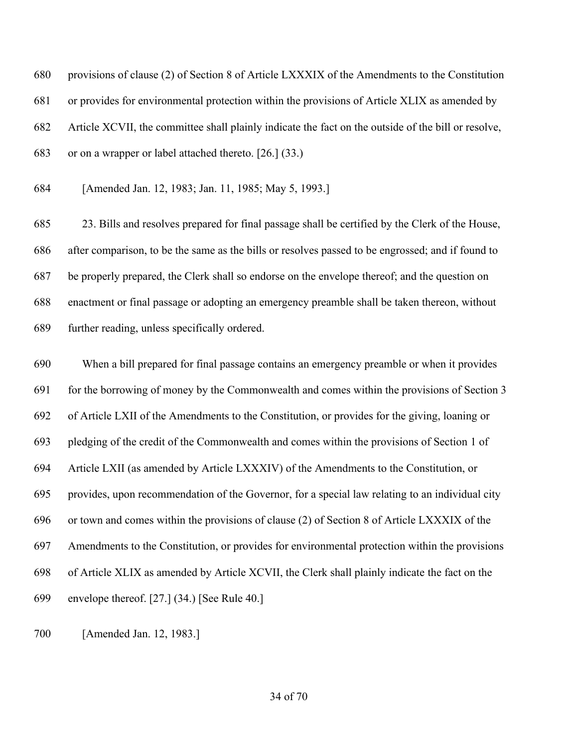provisions of clause (2) of Section 8 of Article LXXXIX of the Amendments to the Constitution or provides for environmental protection within the provisions of Article XLIX as amended by Article XCVII, the committee shall plainly indicate the fact on the outside of the bill or resolve, or on a wrapper or label attached thereto. [26.] (33.)

684 [Amended Jan. 12, 1983; Jan. 11, 1985; May 5, 1993.]

685 23. Bills and resolves prepared for final passage shall be certified by the Clerk of the House, after comparison, to be the same as the bills or resolves passed to be engrossed; and if found to be properly prepared, the Clerk shall so endorse on the envelope thereof; and the question on enactment or final passage or adopting an emergency preamble shall be taken thereon, without further reading, unless specifically ordered.

690 When a bill prepared for final passage contains an emergency preamble or when it provides for the borrowing of money by the Commonwealth and comes within the provisions of Section 3 of Article LXII of the Amendments to the Constitution, or provides for the giving, loaning or pledging of the credit of the Commonwealth and comes within the provisions of Section 1 of Article LXII (as amended by Article LXXXIV) of the Amendments to the Constitution, or provides, upon recommendation of the Governor, for a special law relating to an individual city or town and comes within the provisions of clause (2) of Section 8 of Article LXXXIX of the Amendments to the Constitution, or provides for environmental protection within the provisions of Article XLIX as amended by Article XCVII, the Clerk shall plainly indicate the fact on the envelope thereof. [27.] (34.) [See Rule 40.]

700 [Amended Jan. 12, 1983.]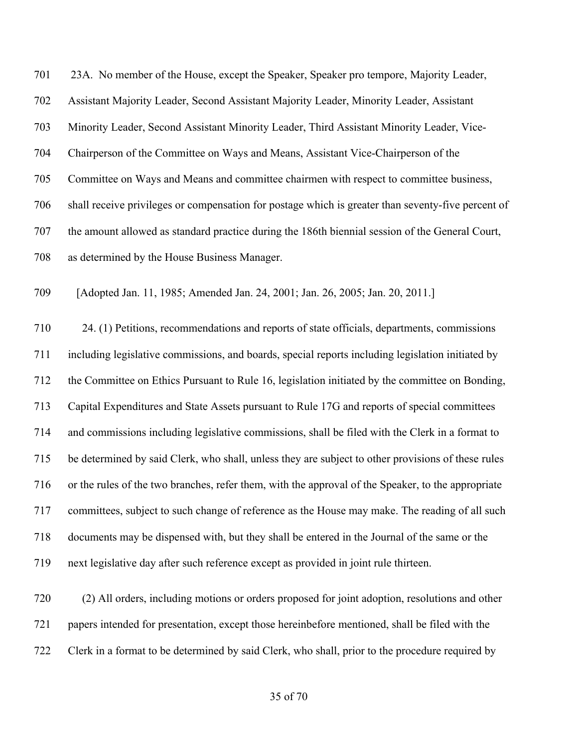23A. No member of the House, except the Speaker, Speaker pro tempore, Majority Leader, Assistant Majority Leader, Second Assistant Majority Leader, Minority Leader, Assistant Minority Leader, Second Assistant Minority Leader, Third Assistant Minority Leader, Vice- Chairperson of the Committee on Ways and Means, Assistant Vice-Chairperson of the Committee on Ways and Means and committee chairmen with respect to committee business, shall receive privileges or compensation for postage which is greater than seventy-five percent of the amount allowed as standard practice during the 186th biennial session of the General Court, as determined by the House Business Manager.

709 [Adopted Jan. 11, 1985; Amended Jan. 24, 2001; Jan. 26, 2005; Jan. 20, 2011.]

710 24. (1) Petitions, recommendations and reports of state officials, departments, commissions including legislative commissions, and boards, special reports including legislation initiated by the Committee on Ethics Pursuant to Rule 16, legislation initiated by the committee on Bonding, Capital Expenditures and State Assets pursuant to Rule 17G and reports of special committees and commissions including legislative commissions, shall be filed with the Clerk in a format to be determined by said Clerk, who shall, unless they are subject to other provisions of these rules or the rules of the two branches, refer them, with the approval of the Speaker, to the appropriate committees, subject to such change of reference as the House may make. The reading of all such documents may be dispensed with, but they shall be entered in the Journal of the same or the next legislative day after such reference except as provided in joint rule thirteen.

720 (2) All orders, including motions or orders proposed for joint adoption, resolutions and other papers intended for presentation, except those hereinbefore mentioned, shall be filed with the Clerk in a format to be determined by said Clerk, who shall, prior to the procedure required by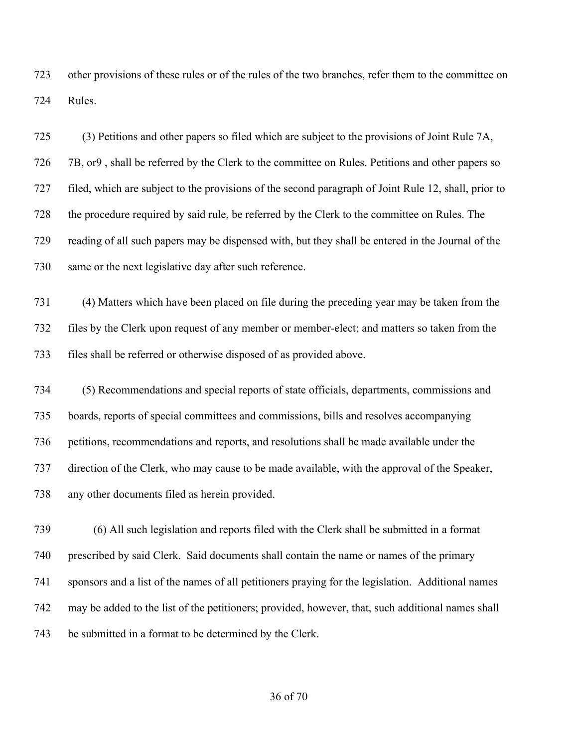other provisions of these rules or of the rules of the two branches, refer them to the committee on Rules.

725 (3) Petitions and other papers so filed which are subject to the provisions of Joint Rule 7A, 7B, or9 , shall be referred by the Clerk to the committee on Rules. Petitions and other papers so filed, which are subject to the provisions of the second paragraph of Joint Rule 12, shall, prior to the procedure required by said rule, be referred by the Clerk to the committee on Rules. The reading of all such papers may be dispensed with, but they shall be entered in the Journal of the same or the next legislative day after such reference.

731 (4) Matters which have been placed on file during the preceding year may be taken from the files by the Clerk upon request of any member or member-elect; and matters so taken from the files shall be referred or otherwise disposed of as provided above.

734 (5) Recommendations and special reports of state officials, departments, commissions and boards, reports of special committees and commissions, bills and resolves accompanying petitions, recommendations and reports, and resolutions shall be made available under the direction of the Clerk, who may cause to be made available, with the approval of the Speaker, any other documents filed as herein provided.

739 (6) All such legislation and reports filed with the Clerk shall be submitted in a format prescribed by said Clerk. Said documents shall contain the name or names of the primary sponsors and a list of the names of all petitioners praying for the legislation. Additional names may be added to the list of the petitioners; provided, however, that, such additional names shall be submitted in a format to be determined by the Clerk.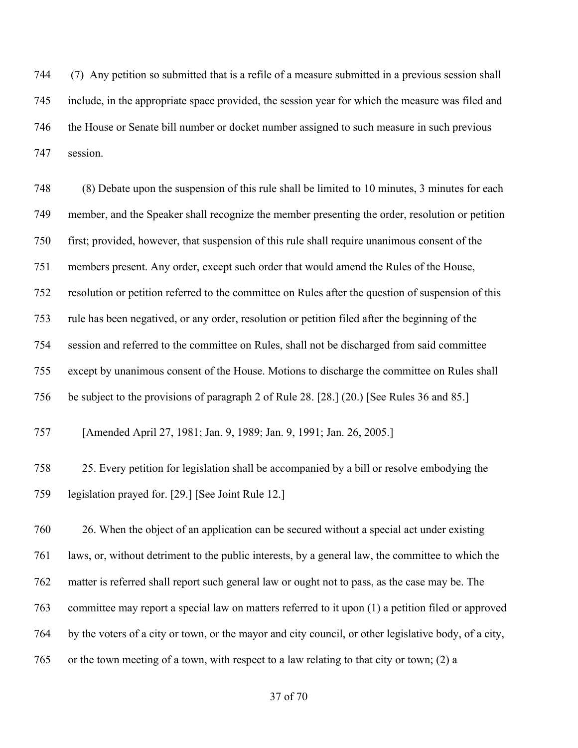(7) Any petition so submitted that is a refile of a measure submitted in a previous session shall include, in the appropriate space provided, the session year for which the measure was filed and the House or Senate bill number or docket number assigned to such measure in such previous session.

748 (8) Debate upon the suspension of this rule shall be limited to 10 minutes, 3 minutes for each member, and the Speaker shall recognize the member presenting the order, resolution or petition first; provided, however, that suspension of this rule shall require unanimous consent of the members present. Any order, except such order that would amend the Rules of the House, resolution or petition referred to the committee on Rules after the question of suspension of this rule has been negatived, or any order, resolution or petition filed after the beginning of the session and referred to the committee on Rules, shall not be discharged from said committee except by unanimous consent of the House. Motions to discharge the committee on Rules shall be subject to the provisions of paragraph 2 of Rule 28. [28.] (20.) [See Rules 36 and 85.]

757 [Amended April 27, 1981; Jan. 9, 1989; Jan. 9, 1991; Jan. 26, 2005.]

758 25. Every petition for legislation shall be accompanied by a bill or resolve embodying the legislation prayed for. [29.] [See Joint Rule 12.]

760 26. When the object of an application can be secured without a special act under existing laws, or, without detriment to the public interests, by a general law, the committee to which the matter is referred shall report such general law or ought not to pass, as the case may be. The committee may report a special law on matters referred to it upon (1) a petition filed or approved by the voters of a city or town, or the mayor and city council, or other legislative body, of a city, or the town meeting of a town, with respect to a law relating to that city or town; (2) a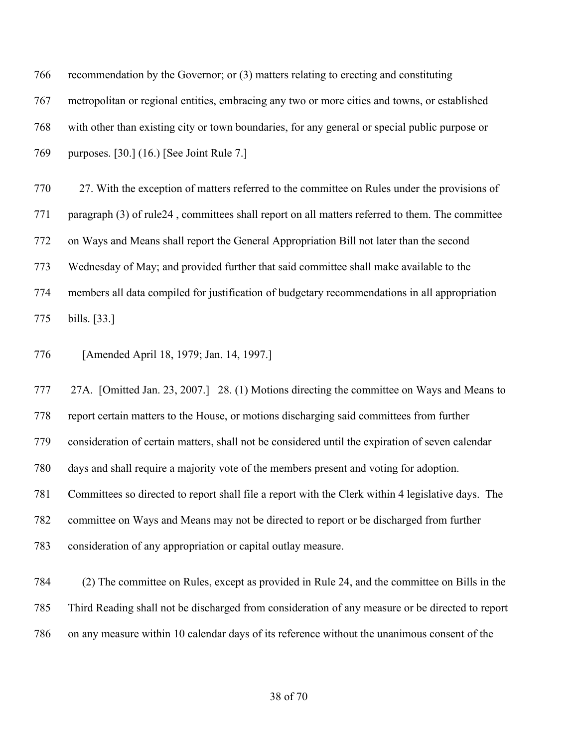| 766 | recommendation by the Governor; or (3) matters relating to erecting and constituting            |
|-----|-------------------------------------------------------------------------------------------------|
| 767 | metropolitan or regional entities, embracing any two or more cities and towns, or established   |
| 768 | with other than existing city or town boundaries, for any general or special public purpose or  |
| 769 | purposes. [30.] (16.) [See Joint Rule 7.]                                                       |
| 770 | 27. With the exception of matters referred to the committee on Rules under the provisions of    |
| 771 | paragraph (3) of rule24, committees shall report on all matters referred to them. The committee |
| 772 | on Ways and Means shall report the General Appropriation Bill not later than the second         |
| 773 | Wednesday of May; and provided further that said committee shall make available to the          |
| 774 | members all data compiled for justification of budgetary recommendations in all appropriation   |
| 775 | bills. [33.]                                                                                    |

776 [Amended April 18, 1979; Jan. 14, 1997.]

 27A. [Omitted Jan. 23, 2007.] 28. (1) Motions directing the committee on Ways and Means to report certain matters to the House, or motions discharging said committees from further consideration of certain matters, shall not be considered until the expiration of seven calendar days and shall require a majority vote of the members present and voting for adoption. Committees so directed to report shall file a report with the Clerk within 4 legislative days. The committee on Ways and Means may not be directed to report or be discharged from further consideration of any appropriation or capital outlay measure.

784 (2) The committee on Rules, except as provided in Rule 24, and the committee on Bills in the Third Reading shall not be discharged from consideration of any measure or be directed to report on any measure within 10 calendar days of its reference without the unanimous consent of the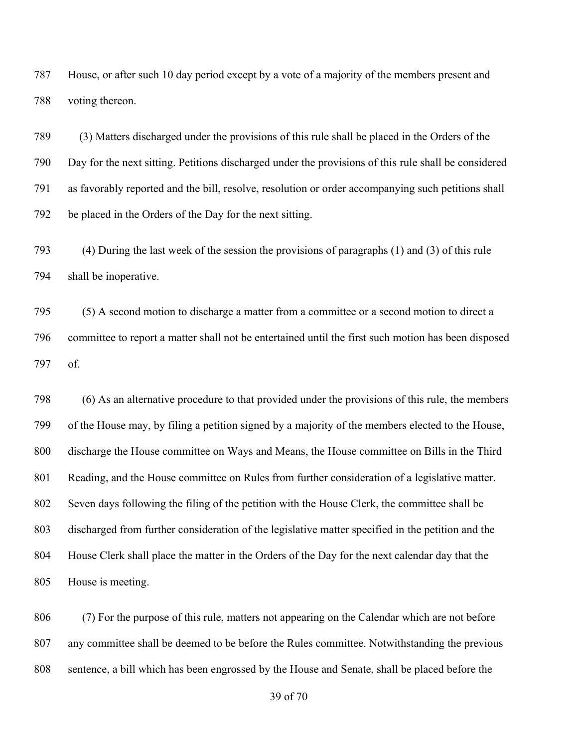House, or after such 10 day period except by a vote of a majority of the members present and voting thereon.

789 (3) Matters discharged under the provisions of this rule shall be placed in the Orders of the Day for the next sitting. Petitions discharged under the provisions of this rule shall be considered as favorably reported and the bill, resolve, resolution or order accompanying such petitions shall be placed in the Orders of the Day for the next sitting.

793 (4) During the last week of the session the provisions of paragraphs (1) and (3) of this rule shall be inoperative.

795 (5) A second motion to discharge a matter from a committee or a second motion to direct a committee to report a matter shall not be entertained until the first such motion has been disposed of.

798 (6) As an alternative procedure to that provided under the provisions of this rule, the members of the House may, by filing a petition signed by a majority of the members elected to the House, discharge the House committee on Ways and Means, the House committee on Bills in the Third Reading, and the House committee on Rules from further consideration of a legislative matter. Seven days following the filing of the petition with the House Clerk, the committee shall be discharged from further consideration of the legislative matter specified in the petition and the House Clerk shall place the matter in the Orders of the Day for the next calendar day that the House is meeting.

806 (7) For the purpose of this rule, matters not appearing on the Calendar which are not before any committee shall be deemed to be before the Rules committee. Notwithstanding the previous sentence, a bill which has been engrossed by the House and Senate, shall be placed before the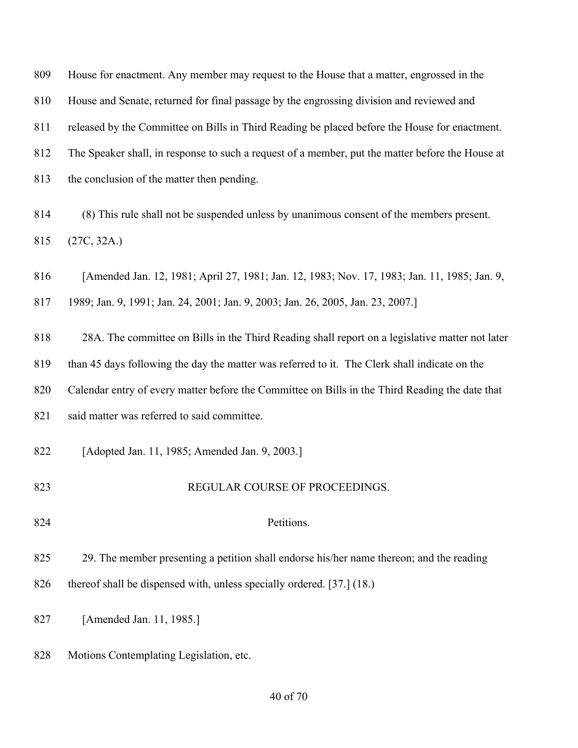| 809 | House for enactment. Any member may request to the House that a matter, engrossed in the         |
|-----|--------------------------------------------------------------------------------------------------|
| 810 | House and Senate, returned for final passage by the engrossing division and reviewed and         |
| 811 | released by the Committee on Bills in Third Reading be placed before the House for enactment.    |
| 812 | The Speaker shall, in response to such a request of a member, put the matter before the House at |
| 813 | the conclusion of the matter then pending.                                                       |
| 814 | (8) This rule shall not be suspended unless by unanimous consent of the members present.         |
| 815 | (27C, 32A.)                                                                                      |
| 816 | [Amended Jan. 12, 1981; April 27, 1981; Jan. 12, 1983; Nov. 17, 1983; Jan. 11, 1985; Jan. 9,     |
| 817 | 1989; Jan. 9, 1991; Jan. 24, 2001; Jan. 9, 2003; Jan. 26, 2005, Jan. 23, 2007.]                  |
| 818 | 28A. The committee on Bills in the Third Reading shall report on a legislative matter not later  |
| 819 | than 45 days following the day the matter was referred to it. The Clerk shall indicate on the    |
| 820 | Calendar entry of every matter before the Committee on Bills in the Third Reading the date that  |
| 821 | said matter was referred to said committee.                                                      |
| 822 | [Adopted Jan. 11, 1985; Amended Jan. 9, 2003.]                                                   |
| 823 | REGULAR COURSE OF PROCEEDINGS                                                                    |
| 824 | Petitions.                                                                                       |
| 825 | 29. The member presenting a petition shall endorse his/her name thereon; and the reading         |
| 826 | thereof shall be dispensed with, unless specially ordered. [37.] (18.)                           |
| 827 | [Amended Jan. 11, 1985.]                                                                         |
| 828 | Motions Contemplating Legislation, etc.                                                          |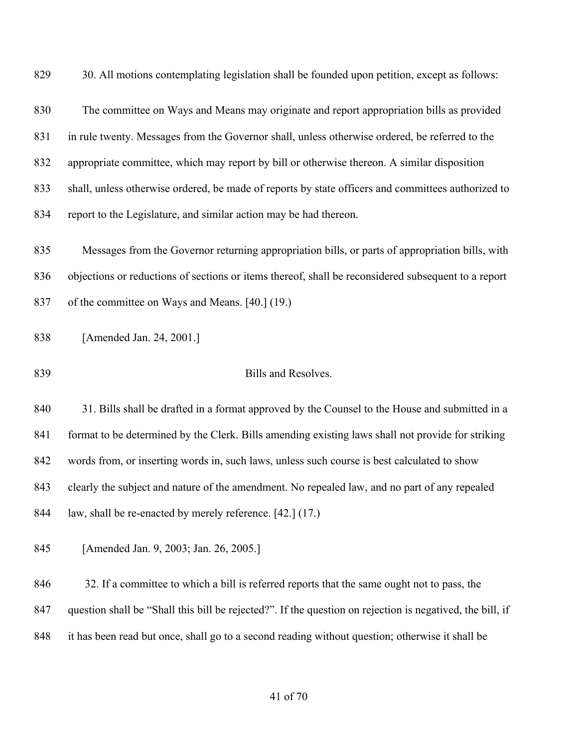829 30. All motions contemplating legislation shall be founded upon petition, except as follows:

| 830 | The committee on Ways and Means may originate and report appropriation bills as provided                  |
|-----|-----------------------------------------------------------------------------------------------------------|
| 831 | in rule twenty. Messages from the Governor shall, unless otherwise ordered, be referred to the            |
| 832 | appropriate committee, which may report by bill or otherwise thereon. A similar disposition               |
| 833 | shall, unless otherwise ordered, be made of reports by state officers and committees authorized to        |
| 834 | report to the Legislature, and similar action may be had thereon.                                         |
| 835 | Messages from the Governor returning appropriation bills, or parts of appropriation bills, with           |
| 836 | objections or reductions of sections or items thereof, shall be reconsidered subsequent to a report       |
| 837 | of the committee on Ways and Means. [40.] (19.)                                                           |
| 838 | [Amended Jan. 24, 2001.]                                                                                  |
| 839 | Bills and Resolves.                                                                                       |
| 840 | 31. Bills shall be drafted in a format approved by the Counsel to the House and submitted in a            |
| 841 | format to be determined by the Clerk. Bills amending existing laws shall not provide for striking         |
| 842 | words from, or inserting words in, such laws, unless such course is best calculated to show               |
| 843 | clearly the subject and nature of the amendment. No repealed law, and no part of any repealed             |
| 844 | law, shall be re-enacted by merely reference. [42.] (17.)                                                 |
| 845 | [Amended Jan. 9, 2003; Jan. 26, 2005.]                                                                    |
| 846 | 32. If a committee to which a bill is referred reports that the same ought not to pass, the               |
| 847 | question shall be "Shall this bill be rejected?". If the question on rejection is negatived, the bill, if |
| 848 | it has been read but once, shall go to a second reading without question; otherwise it shall be           |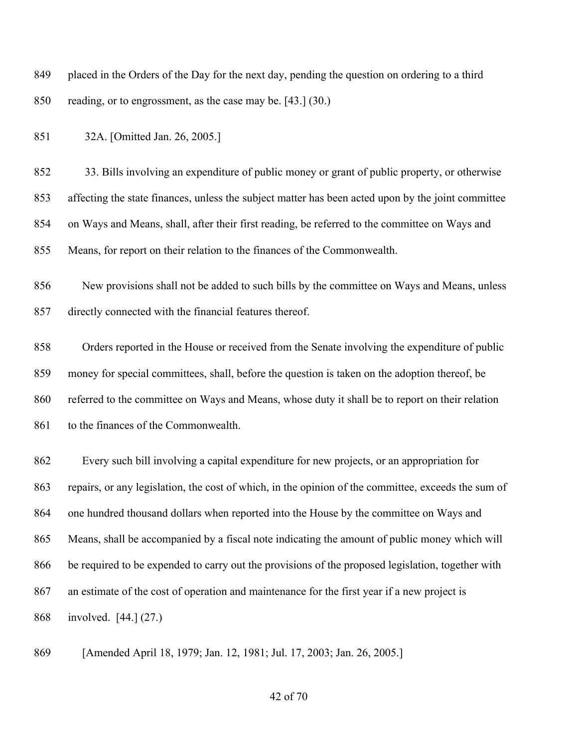| 849 | placed in the Orders of the Day for the next day, pending the question on ordering to a third       |
|-----|-----------------------------------------------------------------------------------------------------|
| 850 | reading, or to engrossment, as the case may be. [43.] (30.)                                         |
| 851 | 32A. [Omitted Jan. 26, 2005.]                                                                       |
| 852 | 33. Bills involving an expenditure of public money or grant of public property, or otherwise        |
| 853 | affecting the state finances, unless the subject matter has been acted upon by the joint committee  |
| 854 | on Ways and Means, shall, after their first reading, be referred to the committee on Ways and       |
| 855 | Means, for report on their relation to the finances of the Commonwealth.                            |
| 856 | New provisions shall not be added to such bills by the committee on Ways and Means, unless          |
| 857 | directly connected with the financial features thereof.                                             |
| 858 | Orders reported in the House or received from the Senate involving the expenditure of public        |
| 859 | money for special committees, shall, before the question is taken on the adoption thereof, be       |
| 860 | referred to the committee on Ways and Means, whose duty it shall be to report on their relation     |
| 861 | to the finances of the Commonwealth.                                                                |
| 862 | Every such bill involving a capital expenditure for new projects, or an appropriation for           |
| 863 | repairs, or any legislation, the cost of which, in the opinion of the committee, exceeds the sum of |
| 864 | one hundred thousand dollars when reported into the House by the committee on Ways and              |
| 865 | Means, shall be accompanied by a fiscal note indicating the amount of public money which will       |
| 866 | be required to be expended to carry out the provisions of the proposed legislation, together with   |
| 867 | an estimate of the cost of operation and maintenance for the first year if a new project is         |
| 868 | involved. [44.] (27.)                                                                               |

869 [Amended April 18, 1979; Jan. 12, 1981; Jul. 17, 2003; Jan. 26, 2005.]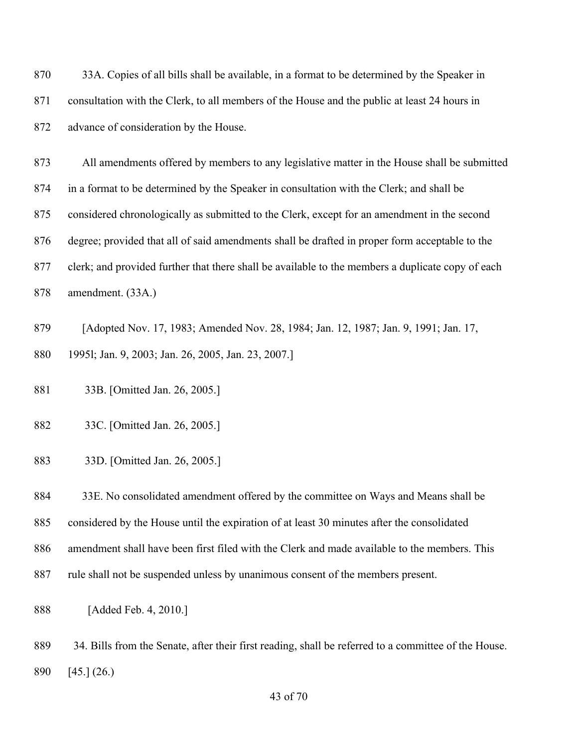| 870 | 33A. Copies of all bills shall be available, in a format to be determined by the Speaker in          |
|-----|------------------------------------------------------------------------------------------------------|
| 871 | consultation with the Clerk, to all members of the House and the public at least 24 hours in         |
| 872 | advance of consideration by the House.                                                               |
| 873 | All amendments offered by members to any legislative matter in the House shall be submitted          |
| 874 | in a format to be determined by the Speaker in consultation with the Clerk; and shall be             |
| 875 | considered chronologically as submitted to the Clerk, except for an amendment in the second          |
| 876 | degree; provided that all of said amendments shall be drafted in proper form acceptable to the       |
| 877 | clerk; and provided further that there shall be available to the members a duplicate copy of each    |
| 878 | amendment. (33A.)                                                                                    |
| 879 | [Adopted Nov. 17, 1983; Amended Nov. 28, 1984; Jan. 12, 1987; Jan. 9, 1991; Jan. 17,                 |
| 880 | 19951; Jan. 9, 2003; Jan. 26, 2005, Jan. 23, 2007.]                                                  |
| 881 | 33B. [Omitted Jan. 26, 2005.]                                                                        |
| 882 | 33C. [Omitted Jan. 26, 2005.]                                                                        |
| 883 | 33D. [Omitted Jan. 26, 2005.]                                                                        |
| 884 | 33E. No consolidated amendment offered by the committee on Ways and Means shall be                   |
| 885 | considered by the House until the expiration of at least 30 minutes after the consolidated           |
| 886 | amendment shall have been first filed with the Clerk and made available to the members. This         |
| 887 | rule shall not be suspended unless by unanimous consent of the members present.                      |
| 888 | [Added Feb. 4, 2010.]                                                                                |
| 889 | 34. Bills from the Senate, after their first reading, shall be referred to a committee of the House. |
| 890 | [45.] (26.)                                                                                          |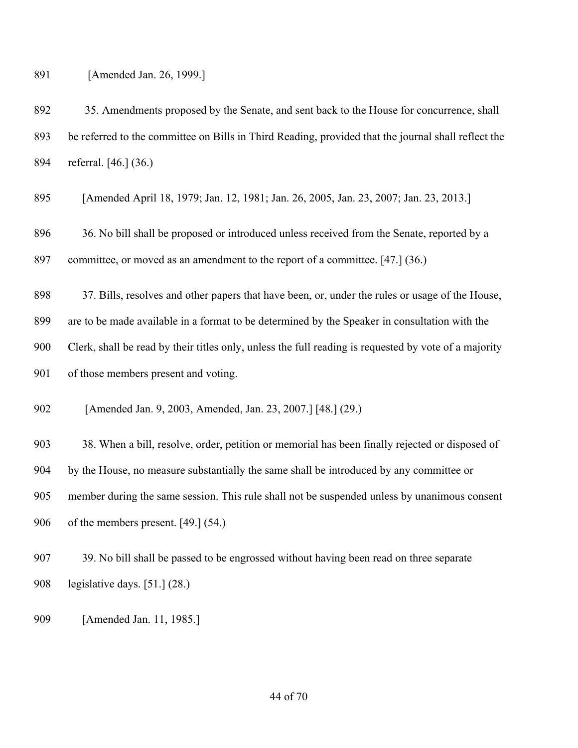892 35. Amendments proposed by the Senate, and sent back to the House for concurrence, shall 893 be referred to the committee on Bills in Third Reading, provided that the journal shall reflect the 894 referral. [46.] (36.)

895 [Amended April 18, 1979; Jan. 12, 1981; Jan. 26, 2005, Jan. 23, 2007; Jan. 23, 2013.]

896 36. No bill shall be proposed or introduced unless received from the Senate, reported by a 897 committee, or moved as an amendment to the report of a committee. [47.] (36.)

898 37. Bills, resolves and other papers that have been, or, under the rules or usage of the House,

899 are to be made available in a format to be determined by the Speaker in consultation with the

900 Clerk, shall be read by their titles only, unless the full reading is requested by vote of a majority

- 901 of those members present and voting.
- 902 [Amended Jan. 9, 2003, Amended, Jan. 23, 2007.] [48.] (29.)

903 38. When a bill, resolve, order, petition or memorial has been finally rejected or disposed of by the House, no measure substantially the same shall be introduced by any committee or member during the same session. This rule shall not be suspended unless by unanimous consent of the members present. [49.] (54.)

- 907 39. No bill shall be passed to be engrossed without having been read on three separate 908 legislative days. [51.] (28.)
- 909 [Amended Jan. 11, 1985.]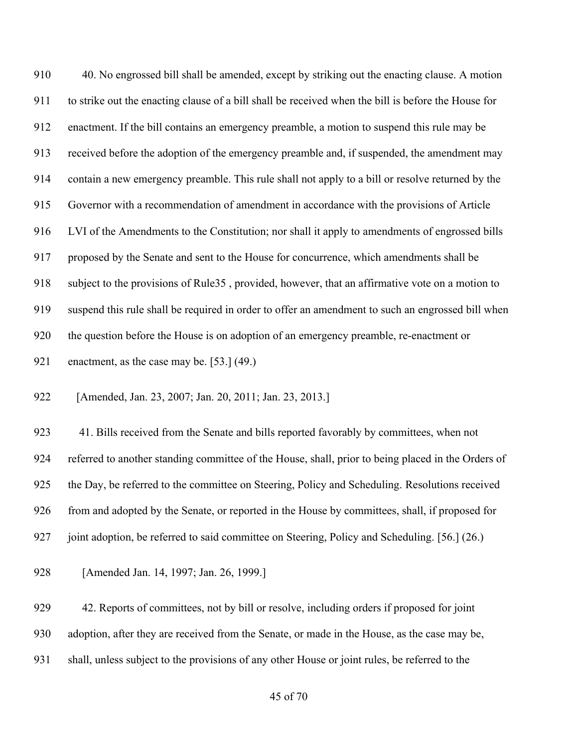910 40. No engrossed bill shall be amended, except by striking out the enacting clause. A motion to strike out the enacting clause of a bill shall be received when the bill is before the House for enactment. If the bill contains an emergency preamble, a motion to suspend this rule may be received before the adoption of the emergency preamble and, if suspended, the amendment may contain a new emergency preamble. This rule shall not apply to a bill or resolve returned by the Governor with a recommendation of amendment in accordance with the provisions of Article LVI of the Amendments to the Constitution; nor shall it apply to amendments of engrossed bills proposed by the Senate and sent to the House for concurrence, which amendments shall be subject to the provisions of Rule35 , provided, however, that an affirmative vote on a motion to suspend this rule shall be required in order to offer an amendment to such an engrossed bill when the question before the House is on adoption of an emergency preamble, re-enactment or enactment, as the case may be. [53.] (49.)

922 [Amended, Jan. 23, 2007; Jan. 20, 2011; Jan. 23, 2013.]

923 41. Bills received from the Senate and bills reported favorably by committees, when not referred to another standing committee of the House, shall, prior to being placed in the Orders of the Day, be referred to the committee on Steering, Policy and Scheduling. Resolutions received from and adopted by the Senate, or reported in the House by committees, shall, if proposed for joint adoption, be referred to said committee on Steering, Policy and Scheduling. [56.] (26.)

928 [Amended Jan. 14, 1997; Jan. 26, 1999.]

929 42. Reports of committees, not by bill or resolve, including orders if proposed for joint adoption, after they are received from the Senate, or made in the House, as the case may be, shall, unless subject to the provisions of any other House or joint rules, be referred to the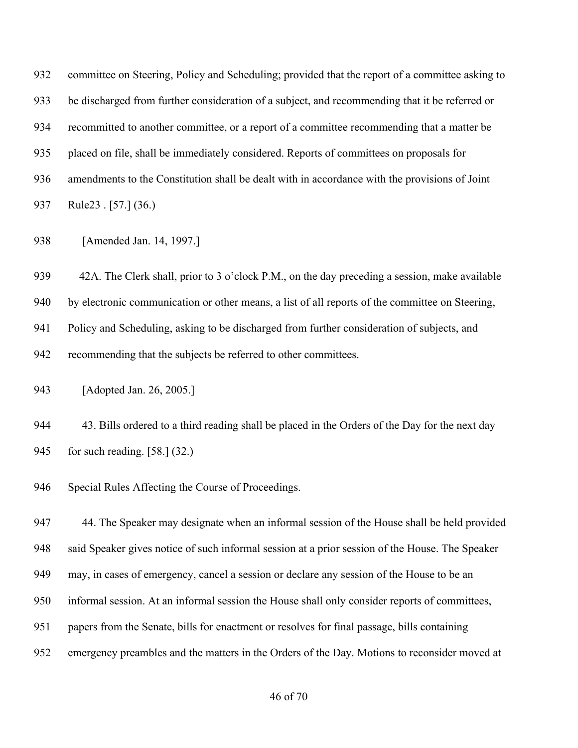committee on Steering, Policy and Scheduling; provided that the report of a committee asking to be discharged from further consideration of a subject, and recommending that it be referred or recommitted to another committee, or a report of a committee recommending that a matter be placed on file, shall be immediately considered. Reports of committees on proposals for amendments to the Constitution shall be dealt with in accordance with the provisions of Joint Rule23 . [57.] (36.)

938 [Amended Jan. 14, 1997.]

939 42A. The Clerk shall, prior to 3 o'clock P.M., on the day preceding a session, make available by electronic communication or other means, a list of all reports of the committee on Steering, Policy and Scheduling, asking to be discharged from further consideration of subjects, and recommending that the subjects be referred to other committees.

943 [Adopted Jan. 26, 2005.]

944 43. Bills ordered to a third reading shall be placed in the Orders of the Day for the next day for such reading. [58.] (32.)

Special Rules Affecting the Course of Proceedings.

947 44. The Speaker may designate when an informal session of the House shall be held provided said Speaker gives notice of such informal session at a prior session of the House. The Speaker may, in cases of emergency, cancel a session or declare any session of the House to be an informal session. At an informal session the House shall only consider reports of committees, papers from the Senate, bills for enactment or resolves for final passage, bills containing emergency preambles and the matters in the Orders of the Day. Motions to reconsider moved at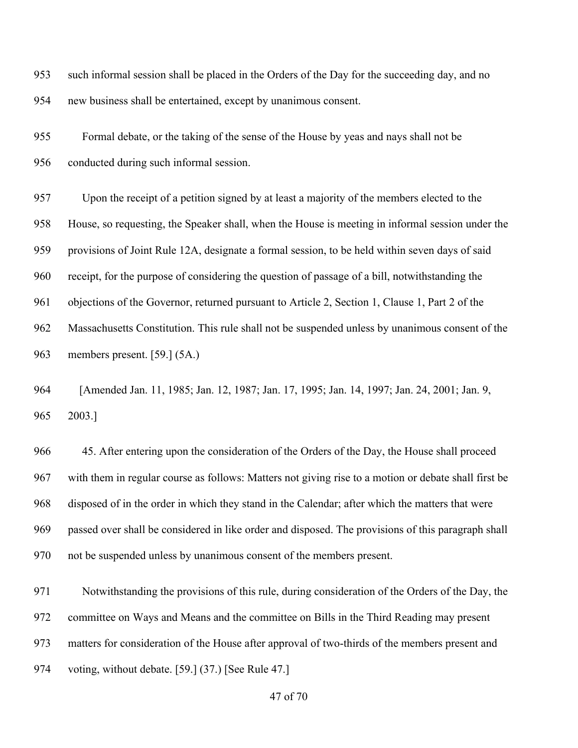| 953 | such informal session shall be placed in the Orders of the Day for the succeeding day, and no    |
|-----|--------------------------------------------------------------------------------------------------|
| 954 | new business shall be entertained, except by unanimous consent.                                  |
| 955 | Formal debate, or the taking of the sense of the House by yeas and nays shall not be             |
| 956 | conducted during such informal session.                                                          |
| 957 | Upon the receipt of a petition signed by at least a majority of the members elected to the       |
| 958 | House, so requesting, the Speaker shall, when the House is meeting in informal session under the |
| 959 | provisions of Joint Rule 12A, designate a formal session, to be held within seven days of said   |
| 960 | receipt, for the purpose of considering the question of passage of a bill, notwithstanding the   |
| 961 | objections of the Governor, returned pursuant to Article 2, Section 1, Clause 1, Part 2 of the   |
| 962 | Massachusetts Constitution. This rule shall not be suspended unless by unanimous consent of the  |
| 963 | members present. [59.] (5A.)                                                                     |
| 964 | [Amended Jan. 11, 1985; Jan. 12, 1987; Jan. 17, 1995; Jan. 14, 1997; Jan. 24, 2001; Jan. 9,      |
| 965 | 2003.]                                                                                           |
|     |                                                                                                  |

966 45. After entering upon the consideration of the Orders of the Day, the House shall proceed with them in regular course as follows: Matters not giving rise to a motion or debate shall first be disposed of in the order in which they stand in the Calendar; after which the matters that were passed over shall be considered in like order and disposed. The provisions of this paragraph shall not be suspended unless by unanimous consent of the members present.

971 Notwithstanding the provisions of this rule, during consideration of the Orders of the Day, the committee on Ways and Means and the committee on Bills in the Third Reading may present matters for consideration of the House after approval of two-thirds of the members present and voting, without debate. [59.] (37.) [See Rule 47.]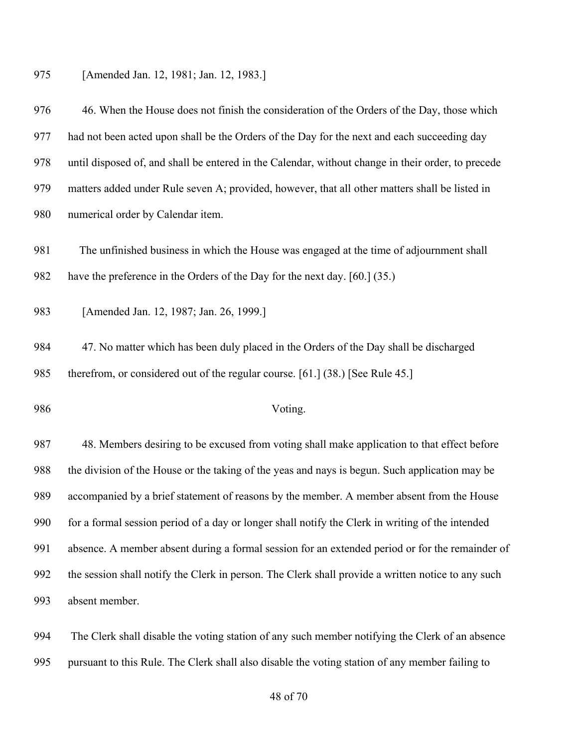975 [Amended Jan. 12, 1981; Jan. 12, 1983.]

976 46. When the House does not finish the consideration of the Orders of the Day, those which had not been acted upon shall be the Orders of the Day for the next and each succeeding day until disposed of, and shall be entered in the Calendar, without change in their order, to precede matters added under Rule seven A; provided, however, that all other matters shall be listed in numerical order by Calendar item.

981 The unfinished business in which the House was engaged at the time of adjournment shall have the preference in the Orders of the Day for the next day. [60.] (35.)

983 [Amended Jan. 12, 1987; Jan. 26, 1999.]

984 47. No matter which has been duly placed in the Orders of the Day shall be discharged 985 therefrom, or considered out of the regular course. [61.] (38.) [See Rule 45.]

## Voting.

987 48. Members desiring to be excused from voting shall make application to that effect before the division of the House or the taking of the yeas and nays is begun. Such application may be accompanied by a brief statement of reasons by the member. A member absent from the House for a formal session period of a day or longer shall notify the Clerk in writing of the intended absence. A member absent during a formal session for an extended period or for the remainder of the session shall notify the Clerk in person. The Clerk shall provide a written notice to any such absent member.

 The Clerk shall disable the voting station of any such member notifying the Clerk of an absence pursuant to this Rule. The Clerk shall also disable the voting station of any member failing to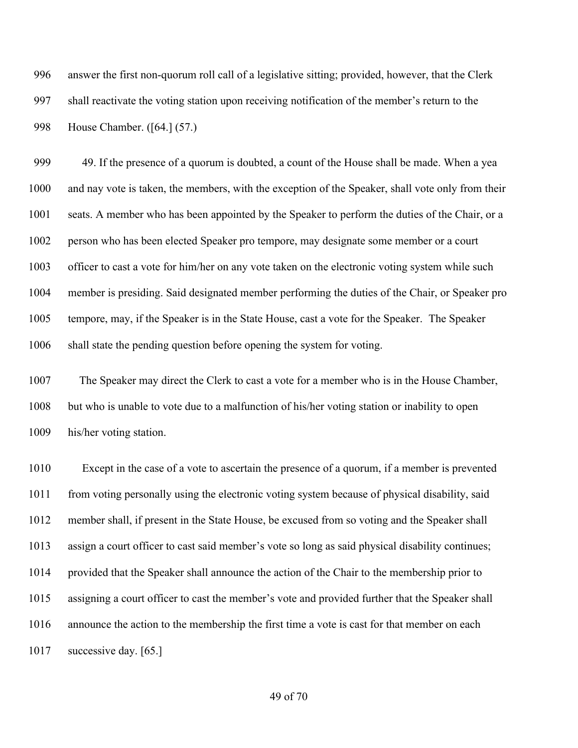answer the first non-quorum roll call of a legislative sitting; provided, however, that the Clerk shall reactivate the voting station upon receiving notification of the member's return to the House Chamber. ([64.] (57.)

999 49. If the presence of a quorum is doubted, a count of the House shall be made. When a yea and nay vote is taken, the members, with the exception of the Speaker, shall vote only from their seats. A member who has been appointed by the Speaker to perform the duties of the Chair, or a person who has been elected Speaker pro tempore, may designate some member or a court officer to cast a vote for him/her on any vote taken on the electronic voting system while such member is presiding. Said designated member performing the duties of the Chair, or Speaker pro tempore, may, if the Speaker is in the State House, cast a vote for the Speaker. The Speaker shall state the pending question before opening the system for voting.

1007 The Speaker may direct the Clerk to cast a vote for a member who is in the House Chamber, but who is unable to vote due to a malfunction of his/her voting station or inability to open his/her voting station.

1010 Except in the case of a vote to ascertain the presence of a quorum, if a member is prevented from voting personally using the electronic voting system because of physical disability, said member shall, if present in the State House, be excused from so voting and the Speaker shall assign a court officer to cast said member's vote so long as said physical disability continues; provided that the Speaker shall announce the action of the Chair to the membership prior to assigning a court officer to cast the member's vote and provided further that the Speaker shall announce the action to the membership the first time a vote is cast for that member on each 1017 successive day. [65.]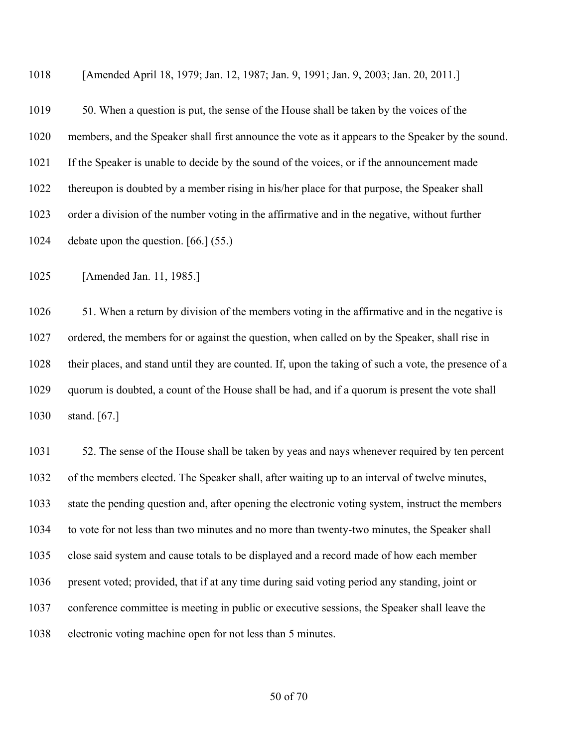1018 [Amended April 18, 1979; Jan. 12, 1987; Jan. 9, 1991; Jan. 9, 2003; Jan. 20, 2011.]

1019 50. When a question is put, the sense of the House shall be taken by the voices of the members, and the Speaker shall first announce the vote as it appears to the Speaker by the sound. If the Speaker is unable to decide by the sound of the voices, or if the announcement made thereupon is doubted by a member rising in his/her place for that purpose, the Speaker shall order a division of the number voting in the affirmative and in the negative, without further debate upon the question. [66.] (55.)

1025 [Amended Jan. 11, 1985.]

1026 51. When a return by division of the members voting in the affirmative and in the negative is ordered, the members for or against the question, when called on by the Speaker, shall rise in their places, and stand until they are counted. If, upon the taking of such a vote, the presence of a quorum is doubted, a count of the House shall be had, and if a quorum is present the vote shall stand. [67.]

1031 52. The sense of the House shall be taken by yeas and nays whenever required by ten percent of the members elected. The Speaker shall, after waiting up to an interval of twelve minutes, state the pending question and, after opening the electronic voting system, instruct the members to vote for not less than two minutes and no more than twenty-two minutes, the Speaker shall close said system and cause totals to be displayed and a record made of how each member present voted; provided, that if at any time during said voting period any standing, joint or conference committee is meeting in public or executive sessions, the Speaker shall leave the electronic voting machine open for not less than 5 minutes.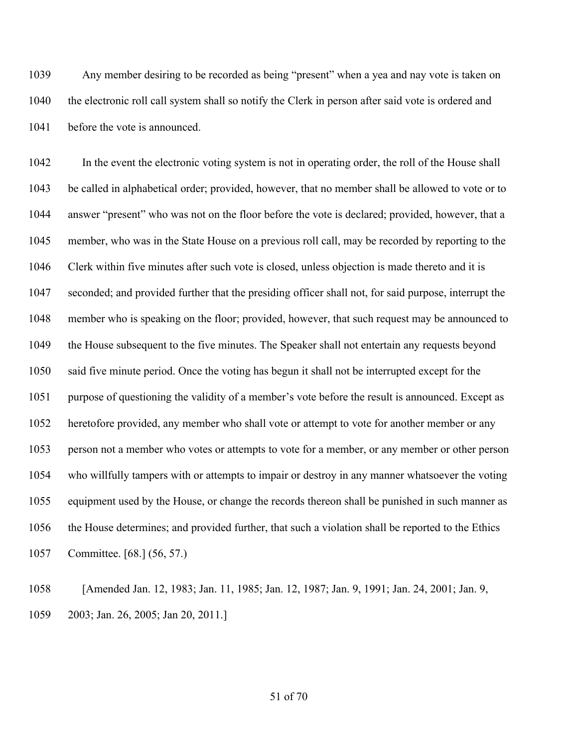1039 Any member desiring to be recorded as being "present" when a yea and nay vote is taken on the electronic roll call system shall so notify the Clerk in person after said vote is ordered and before the vote is announced.

1042 In the event the electronic voting system is not in operating order, the roll of the House shall be called in alphabetical order; provided, however, that no member shall be allowed to vote or to answer "present" who was not on the floor before the vote is declared; provided, however, that a member, who was in the State House on a previous roll call, may be recorded by reporting to the Clerk within five minutes after such vote is closed, unless objection is made thereto and it is seconded; and provided further that the presiding officer shall not, for said purpose, interrupt the member who is speaking on the floor; provided, however, that such request may be announced to the House subsequent to the five minutes. The Speaker shall not entertain any requests beyond said five minute period. Once the voting has begun it shall not be interrupted except for the purpose of questioning the validity of a member's vote before the result is announced. Except as heretofore provided, any member who shall vote or attempt to vote for another member or any person not a member who votes or attempts to vote for a member, or any member or other person who willfully tampers with or attempts to impair or destroy in any manner whatsoever the voting equipment used by the House, or change the records thereon shall be punished in such manner as the House determines; and provided further, that such a violation shall be reported to the Ethics Committee. [68.] (56, 57.)

1058 [Amended Jan. 12, 1983; Jan. 11, 1985; Jan. 12, 1987; Jan. 9, 1991; Jan. 24, 2001; Jan. 9, 2003; Jan. 26, 2005; Jan 20, 2011.]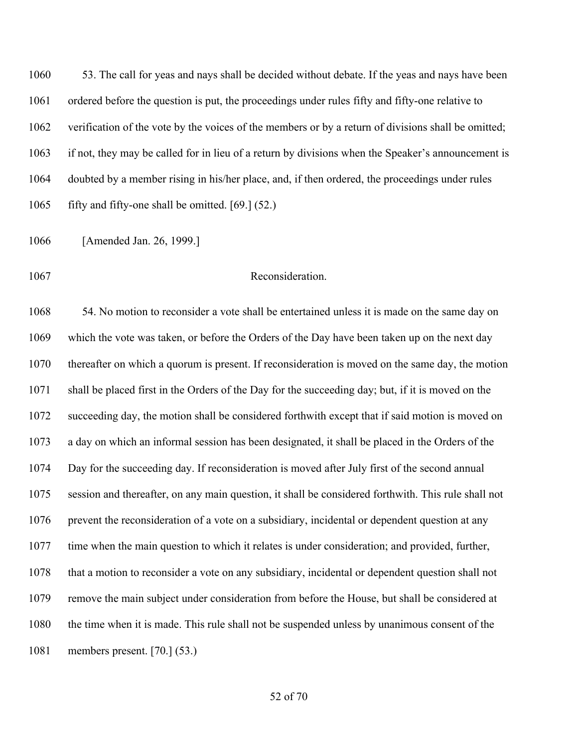1060 53. The call for yeas and nays shall be decided without debate. If the yeas and nays have been ordered before the question is put, the proceedings under rules fifty and fifty-one relative to verification of the vote by the voices of the members or by a return of divisions shall be omitted; if not, they may be called for in lieu of a return by divisions when the Speaker's announcement is doubted by a member rising in his/her place, and, if then ordered, the proceedings under rules 1065 fifty and fifty-one shall be omitted.  $[69.] (52.)$ 

- 1066 [Amended Jan. 26, 1999.]
- 

## 1067 Reconsideration.

1068 54. No motion to reconsider a vote shall be entertained unless it is made on the same day on which the vote was taken, or before the Orders of the Day have been taken up on the next day thereafter on which a quorum is present. If reconsideration is moved on the same day, the motion shall be placed first in the Orders of the Day for the succeeding day; but, if it is moved on the succeeding day, the motion shall be considered forthwith except that if said motion is moved on a day on which an informal session has been designated, it shall be placed in the Orders of the Day for the succeeding day. If reconsideration is moved after July first of the second annual session and thereafter, on any main question, it shall be considered forthwith. This rule shall not 1076 prevent the reconsideration of a vote on a subsidiary, incidental or dependent question at any time when the main question to which it relates is under consideration; and provided, further, that a motion to reconsider a vote on any subsidiary, incidental or dependent question shall not remove the main subject under consideration from before the House, but shall be considered at the time when it is made. This rule shall not be suspended unless by unanimous consent of the members present. [70.] (53.)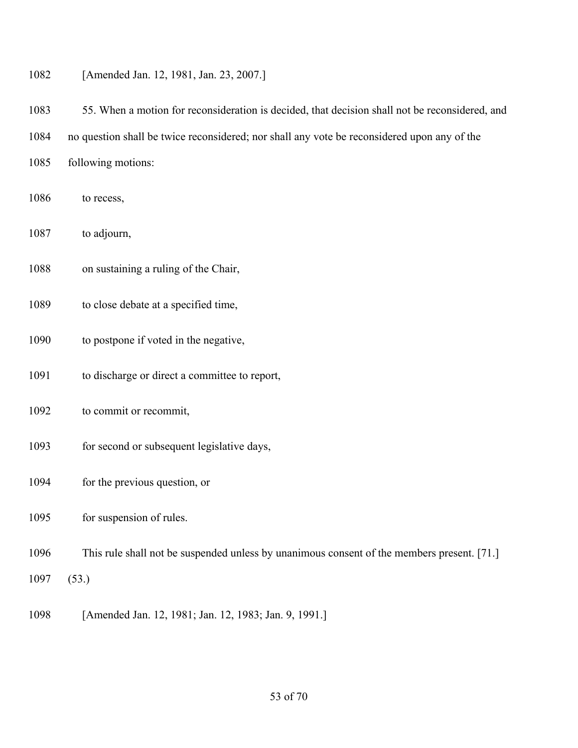- 1082 [Amended Jan. 12, 1981, Jan. 23, 2007.]
- 1083 55. When a motion for reconsideration is decided, that decision shall not be reconsidered, and
- 1084 no question shall be twice reconsidered; nor shall any vote be reconsidered upon any of the
- 1085 following motions:
- 1086 to recess,
- 1087 to adjourn,
- 1088 on sustaining a ruling of the Chair,
- 1089 to close debate at a specified time,
- 1090 to postpone if voted in the negative,
- 1091 to discharge or direct a committee to report,
- 1092 to commit or recommit,
- 1093 for second or subsequent legislative days,
- 1094 for the previous question, or
- 1095 for suspension of rules.
- 1096 This rule shall not be suspended unless by unanimous consent of the members present. [71.]
- 1097 (53.)
- 1098 [Amended Jan. 12, 1981; Jan. 12, 1983; Jan. 9, 1991.]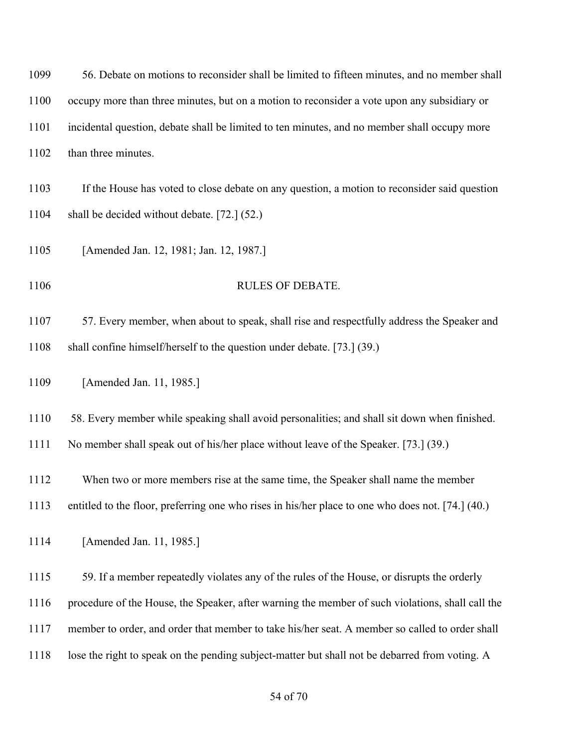| 1099 | 56. Debate on motions to reconsider shall be limited to fifteen minutes, and no member shall      |
|------|---------------------------------------------------------------------------------------------------|
| 1100 | occupy more than three minutes, but on a motion to reconsider a vote upon any subsidiary or       |
| 1101 | incidental question, debate shall be limited to ten minutes, and no member shall occupy more      |
| 1102 | than three minutes.                                                                               |
| 1103 | If the House has voted to close debate on any question, a motion to reconsider said question      |
| 1104 | shall be decided without debate. [72.] (52.)                                                      |
| 1105 | [Amended Jan. 12, 1981; Jan. 12, 1987.]                                                           |
| 1106 | <b>RULES OF DEBATE.</b>                                                                           |
| 1107 | 57. Every member, when about to speak, shall rise and respectfully address the Speaker and        |
| 1108 | shall confine himself/herself to the question under debate. [73.] (39.)                           |
| 1109 | [Amended Jan. 11, 1985.]                                                                          |
| 1110 | 58. Every member while speaking shall avoid personalities; and shall sit down when finished.      |
| 1111 | No member shall speak out of his/her place without leave of the Speaker. [73.] (39.)              |
| 1112 | When two or more members rise at the same time, the Speaker shall name the member                 |
| 1113 | entitled to the floor, preferring one who rises in his/her place to one who does not. [74.] (40.) |
| 1114 | [Amended Jan. 11, 1985.]                                                                          |
| 1115 | 59. If a member repeatedly violates any of the rules of the House, or disrupts the orderly        |
| 1116 | procedure of the House, the Speaker, after warning the member of such violations, shall call the  |
| 1117 | member to order, and order that member to take his/her seat. A member so called to order shall    |
| 1118 | lose the right to speak on the pending subject-matter but shall not be debarred from voting. A    |
|      |                                                                                                   |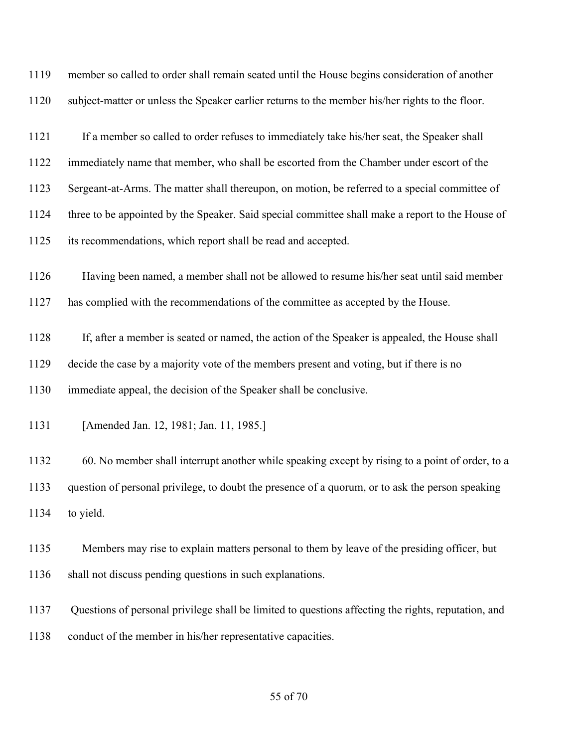member so called to order shall remain seated until the House begins consideration of another subject-matter or unless the Speaker earlier returns to the member his/her rights to the floor.

1121 If a member so called to order refuses to immediately take his/her seat, the Speaker shall immediately name that member, who shall be escorted from the Chamber under escort of the Sergeant-at-Arms. The matter shall thereupon, on motion, be referred to a special committee of three to be appointed by the Speaker. Said special committee shall make a report to the House of its recommendations, which report shall be read and accepted.

1126 Having been named, a member shall not be allowed to resume his/her seat until said member

has complied with the recommendations of the committee as accepted by the House.

1128 If, after a member is seated or named, the action of the Speaker is appealed, the House shall

decide the case by a majority vote of the members present and voting, but if there is no

immediate appeal, the decision of the Speaker shall be conclusive.

1131 [Amended Jan. 12, 1981; Jan. 11, 1985.]

1132 60. No member shall interrupt another while speaking except by rising to a point of order, to a question of personal privilege, to doubt the presence of a quorum, or to ask the person speaking to yield.

1135 Members may rise to explain matters personal to them by leave of the presiding officer, but shall not discuss pending questions in such explanations.

 Questions of personal privilege shall be limited to questions affecting the rights, reputation, and conduct of the member in his/her representative capacities.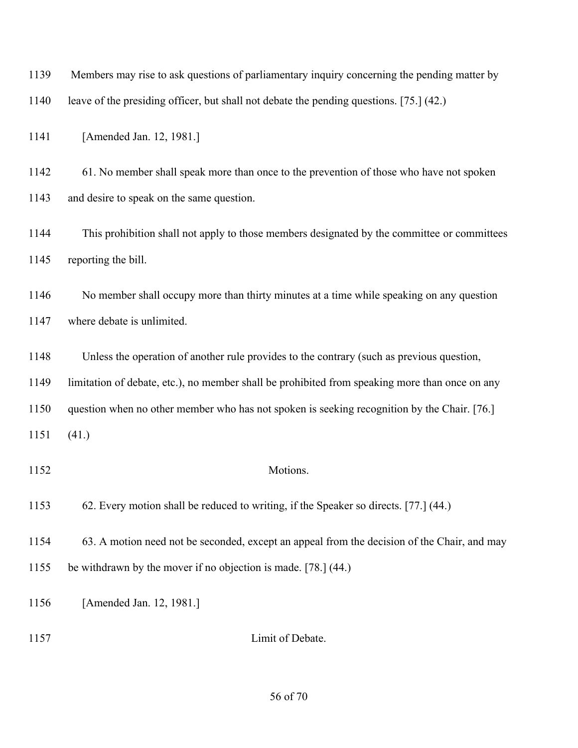| 1139 | Members may rise to ask questions of parliamentary inquiry concerning the pending matter by    |
|------|------------------------------------------------------------------------------------------------|
| 1140 | leave of the presiding officer, but shall not debate the pending questions. [75.] (42.)        |
| 1141 | [Amended Jan. 12, 1981.]                                                                       |
| 1142 | 61. No member shall speak more than once to the prevention of those who have not spoken        |
| 1143 | and desire to speak on the same question.                                                      |
| 1144 | This prohibition shall not apply to those members designated by the committee or committees    |
| 1145 | reporting the bill.                                                                            |
| 1146 | No member shall occupy more than thirty minutes at a time while speaking on any question       |
| 1147 | where debate is unlimited.                                                                     |
| 1148 | Unless the operation of another rule provides to the contrary (such as previous question,      |
| 1149 | limitation of debate, etc.), no member shall be prohibited from speaking more than once on any |
| 1150 | question when no other member who has not spoken is seeking recognition by the Chair. [76.]    |
| 1151 | (41.)                                                                                          |
| 1152 | Motions.                                                                                       |
| 1153 | 62. Every motion shall be reduced to writing, if the Speaker so directs. [77.] (44.)           |
| 1154 | 63. A motion need not be seconded, except an appeal from the decision of the Chair, and may    |
| 1155 | be withdrawn by the mover if no objection is made. [78.] (44.)                                 |
| 1156 | [Amended Jan. 12, 1981.]                                                                       |
| 1157 | Limit of Debate.                                                                               |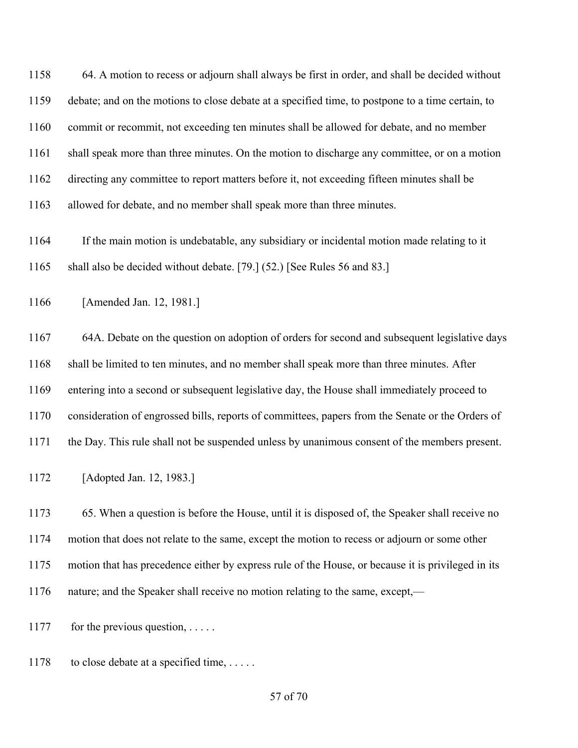1158 64. A motion to recess or adjourn shall always be first in order, and shall be decided without debate; and on the motions to close debate at a specified time, to postpone to a time certain, to commit or recommit, not exceeding ten minutes shall be allowed for debate, and no member shall speak more than three minutes. On the motion to discharge any committee, or on a motion directing any committee to report matters before it, not exceeding fifteen minutes shall be allowed for debate, and no member shall speak more than three minutes. 1164 If the main motion is undebatable, any subsidiary or incidental motion made relating to it shall also be decided without debate. [79.] (52.) [See Rules 56 and 83.] 1166 [Amended Jan. 12, 1981.] 1167 64A. Debate on the question on adoption of orders for second and subsequent legislative days shall be limited to ten minutes, and no member shall speak more than three minutes. After entering into a second or subsequent legislative day, the House shall immediately proceed to consideration of engrossed bills, reports of committees, papers from the Senate or the Orders of the Day. This rule shall not be suspended unless by unanimous consent of the members present. 1172 [Adopted Jan. 12, 1983.] 1173 65. When a question is before the House, until it is disposed of, the Speaker shall receive no motion that does not relate to the same, except the motion to recess or adjourn or some other motion that has precedence either by express rule of the House, or because it is privileged in its nature; and the Speaker shall receive no motion relating to the same, except,— for the previous question, ....

to close debate at a specified time, .....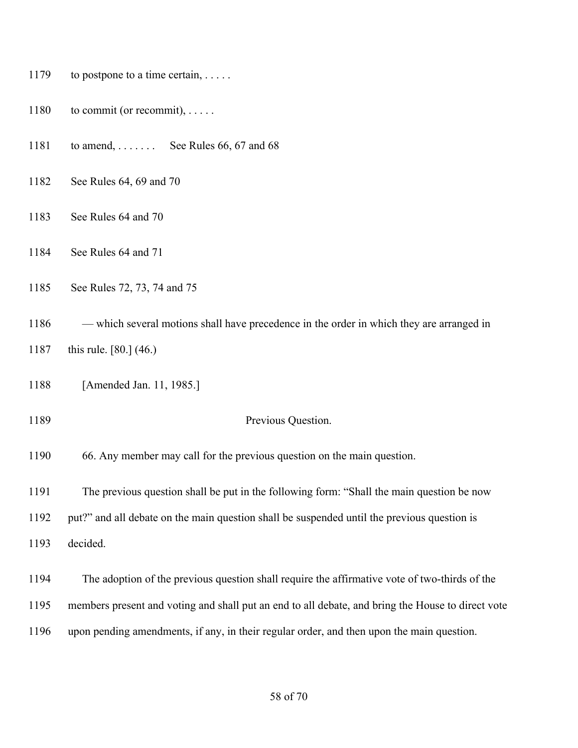- to postpone to a time certain, ....
- to commit (or recommit), ....
- to amend, . . . . . . . See Rules 66, 67 and 68
- See Rules 64, 69 and 70
- See Rules 64 and 70
- See Rules 64 and 71
- See Rules 72, 73, 74 and 75

1186 — which several motions shall have precedence in the order in which they are arranged in this rule. [80.] (46.)

- 1188 [Amended Jan. 11, 1985.]
- 

## 1189 Previous Question.

1190 66. Any member may call for the previous question on the main question.

1191 The previous question shall be put in the following form: "Shall the main question be now

put?" and all debate on the main question shall be suspended until the previous question is

- decided.
- 1194 The adoption of the previous question shall require the affirmative vote of two-thirds of the
- members present and voting and shall put an end to all debate, and bring the House to direct vote
- upon pending amendments, if any, in their regular order, and then upon the main question.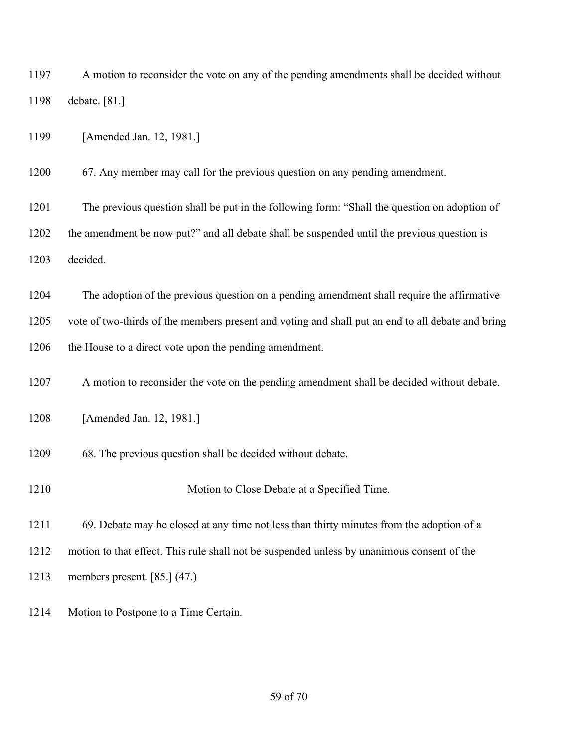1197 A motion to reconsider the vote on any of the pending amendments shall be decided without 1198 debate. [81.]

1199 [Amended Jan. 12, 1981.]

1200 67. Any member may call for the previous question on any pending amendment.

1201 The previous question shall be put in the following form: "Shall the question on adoption of 1202 the amendment be now put?" and all debate shall be suspended until the previous question is 1203 decided.

1204 The adoption of the previous question on a pending amendment shall require the affirmative 1205 vote of two-thirds of the members present and voting and shall put an end to all debate and bring 1206 the House to a direct vote upon the pending amendment.

1207 A motion to reconsider the vote on the pending amendment shall be decided without debate.

1208 [Amended Jan. 12, 1981.]

1209 68. The previous question shall be decided without debate.

1210 Motion to Close Debate at a Specified Time.

1211 69. Debate may be closed at any time not less than thirty minutes from the adoption of a

1212 motion to that effect. This rule shall not be suspended unless by unanimous consent of the

1213 members present. [85.] (47.)

1214 Motion to Postpone to a Time Certain.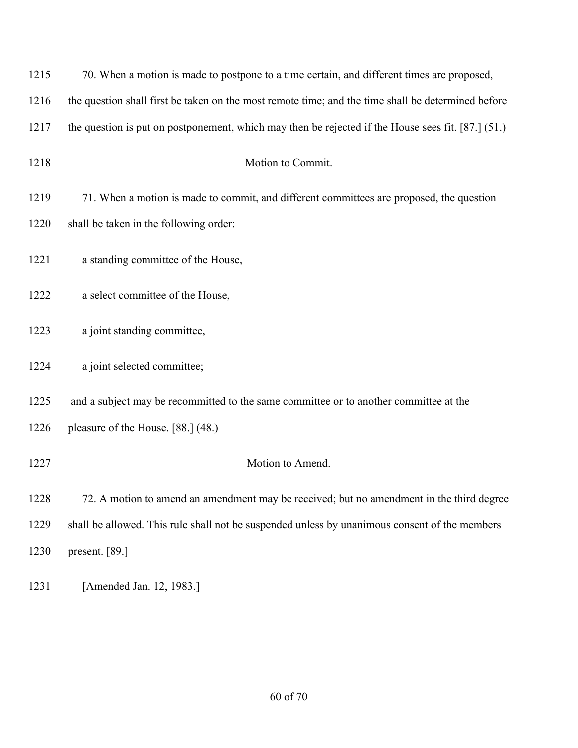| 1215 | 70. When a motion is made to postpone to a time certain, and different times are proposed,         |
|------|----------------------------------------------------------------------------------------------------|
| 1216 | the question shall first be taken on the most remote time; and the time shall be determined before |
| 1217 | the question is put on postponement, which may then be rejected if the House sees fit. [87.] (51.) |
| 1218 | Motion to Commit.                                                                                  |
| 1219 | 71. When a motion is made to commit, and different committees are proposed, the question           |
| 1220 | shall be taken in the following order:                                                             |
| 1221 | a standing committee of the House,                                                                 |
| 1222 | a select committee of the House,                                                                   |
| 1223 | a joint standing committee,                                                                        |
| 1224 | a joint selected committee;                                                                        |
| 1225 | and a subject may be recommitted to the same committee or to another committee at the              |
| 1226 | pleasure of the House. [88.] (48.)                                                                 |
| 1227 | Motion to Amend.                                                                                   |
| 1228 | 72. A motion to amend an amendment may be received; but no amendment in the third degree           |
| 1229 | shall be allowed. This rule shall not be suspended unless by unanimous consent of the members      |
| 1230 | present. $[89.]$                                                                                   |
| 1231 | [Amended Jan. 12, 1983.]                                                                           |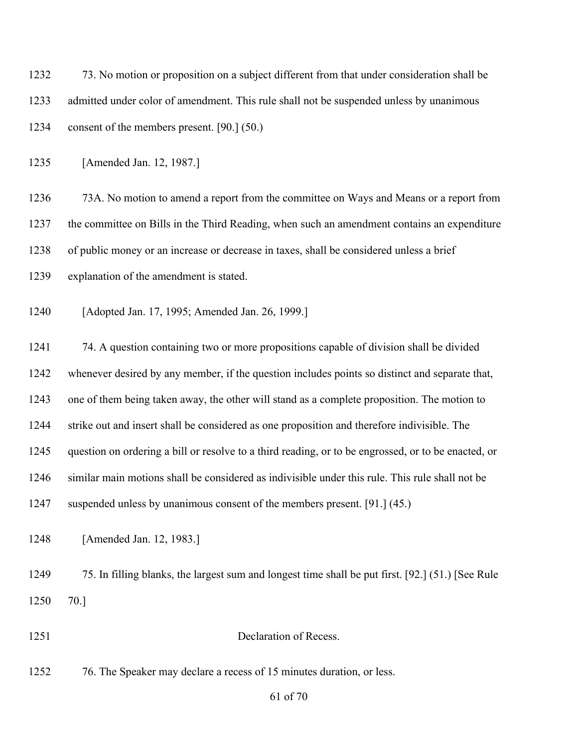1232 73. No motion or proposition on a subject different from that under consideration shall be 1233 admitted under color of amendment. This rule shall not be suspended unless by unanimous 1234 consent of the members present. [90.] (50.)

1235 [Amended Jan. 12, 1987.]

1236 73A. No motion to amend a report from the committee on Ways and Means or a report from 1237 the committee on Bills in the Third Reading, when such an amendment contains an expenditure 1238 of public money or an increase or decrease in taxes, shall be considered unless a brief

1239 explanation of the amendment is stated.

1240 [Adopted Jan. 17, 1995; Amended Jan. 26, 1999.]

1241 74. A question containing two or more propositions capable of division shall be divided whenever desired by any member, if the question includes points so distinct and separate that, one of them being taken away, the other will stand as a complete proposition. The motion to strike out and insert shall be considered as one proposition and therefore indivisible. The question on ordering a bill or resolve to a third reading, or to be engrossed, or to be enacted, or similar main motions shall be considered as indivisible under this rule. This rule shall not be suspended unless by unanimous consent of the members present. [91.] (45.)

1248 [Amended Jan. 12, 1983.]

1249 75. In filling blanks, the largest sum and longest time shall be put first. [92.] (51.) [See Rule 1250 70.]

```
1251 Declaration of Recess.
```
1252 76. The Speaker may declare a recess of 15 minutes duration, or less.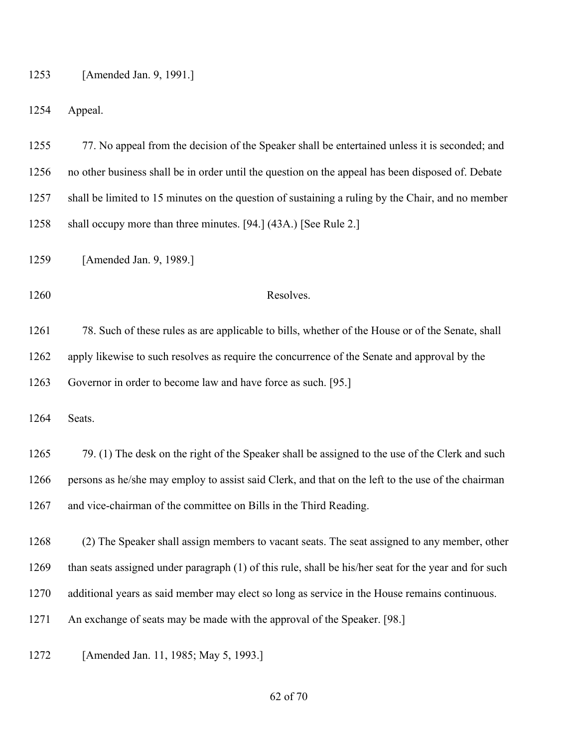| 1253 | [Amended Jan. 9, 1991.] |  |  |  |
|------|-------------------------|--|--|--|
|------|-------------------------|--|--|--|

1254 Appeal.

| 1255 | 77. No appeal from the decision of the Speaker shall be entertained unless it is seconded; and        |
|------|-------------------------------------------------------------------------------------------------------|
| 1256 | no other business shall be in order until the question on the appeal has been disposed of. Debate     |
| 1257 | shall be limited to 15 minutes on the question of sustaining a ruling by the Chair, and no member     |
| 1258 | shall occupy more than three minutes. [94.] (43A.) [See Rule 2.]                                      |
| 1259 | [Amended Jan. 9, 1989.]                                                                               |
| 1260 | Resolves.                                                                                             |
| 1261 | 78. Such of these rules as are applicable to bills, whether of the House or of the Senate, shall      |
| 1262 | apply likewise to such resolves as require the concurrence of the Senate and approval by the          |
| 1263 | Governor in order to become law and have force as such. [95.]                                         |
| 1264 | Seats.                                                                                                |
| 1265 | 79. (1) The desk on the right of the Speaker shall be assigned to the use of the Clerk and such       |
| 1266 | persons as he/she may employ to assist said Clerk, and that on the left to the use of the chairman    |
| 1267 | and vice-chairman of the committee on Bills in the Third Reading.                                     |
| 1268 | (2) The Speaker shall assign members to vacant seats. The seat assigned to any member, other          |
| 1269 | than seats assigned under paragraph (1) of this rule, shall be his/her seat for the year and for such |
| 1270 | additional years as said member may elect so long as service in the House remains continuous.         |
| 1271 | An exchange of seats may be made with the approval of the Speaker. [98.]                              |
| 1272 | [Amended Jan. 11, 1985; May 5, 1993.]                                                                 |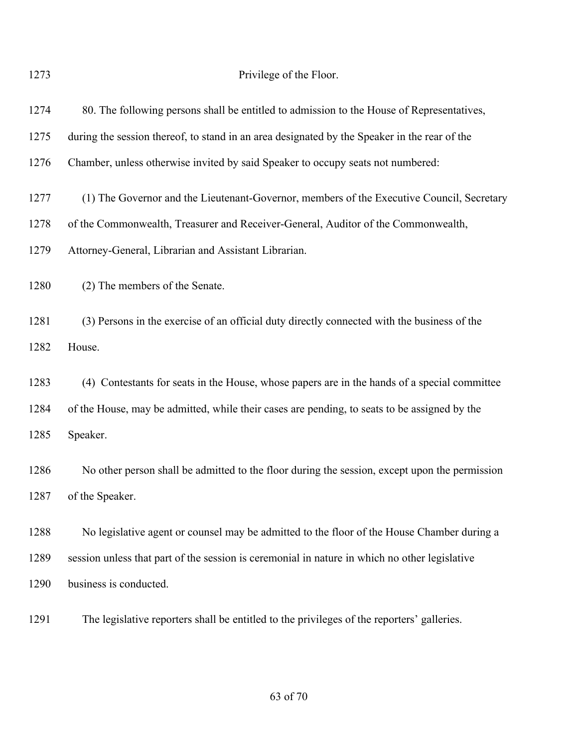| 1274 | 80. The following persons shall be entitled to admission to the House of Representatives,     |
|------|-----------------------------------------------------------------------------------------------|
| 1275 | during the session thereof, to stand in an area designated by the Speaker in the rear of the  |
| 1276 | Chamber, unless otherwise invited by said Speaker to occupy seats not numbered:               |
| 1277 | (1) The Governor and the Lieutenant-Governor, members of the Executive Council, Secretary     |
| 1278 | of the Commonwealth, Treasurer and Receiver-General, Auditor of the Commonwealth,             |
| 1279 | Attorney-General, Librarian and Assistant Librarian.                                          |
| 1280 | (2) The members of the Senate.                                                                |
| 1281 | (3) Persons in the exercise of an official duty directly connected with the business of the   |
| 1282 | House.                                                                                        |
| 1283 | (4) Contestants for seats in the House, whose papers are in the hands of a special committee  |
| 1284 | of the House, may be admitted, while their cases are pending, to seats to be assigned by the  |
| 1285 | Speaker.                                                                                      |
| 1286 | No other person shall be admitted to the floor during the session, except upon the permission |
| 1287 | of the Speaker.                                                                               |
| 1288 | No legislative agent or counsel may be admitted to the floor of the House Chamber during a    |
| 1289 | session unless that part of the session is ceremonial in nature in which no other legislative |
| 1290 | business is conducted.                                                                        |
| 1291 | The legislative reporters shall be entitled to the privileges of the reporters' galleries.    |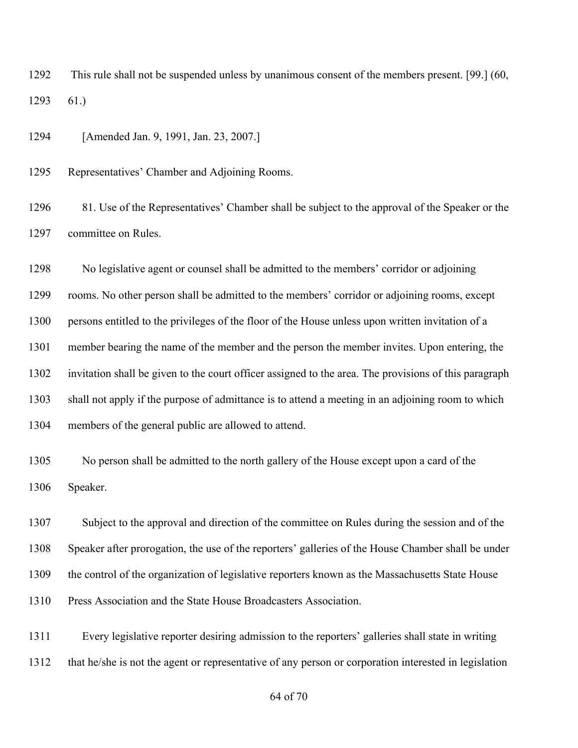This rule shall not be suspended unless by unanimous consent of the members present. [99.] (60, 61.)

1294 [Amended Jan. 9, 1991, Jan. 23, 2007.]

Representatives' Chamber and Adjoining Rooms.

1296 81. Use of the Representatives' Chamber shall be subject to the approval of the Speaker or the committee on Rules.

1298 No legislative agent or counsel shall be admitted to the members' corridor or adjoining rooms. No other person shall be admitted to the members' corridor or adjoining rooms, except persons entitled to the privileges of the floor of the House unless upon written invitation of a member bearing the name of the member and the person the member invites. Upon entering, the invitation shall be given to the court officer assigned to the area. The provisions of this paragraph shall not apply if the purpose of admittance is to attend a meeting in an adjoining room to which members of the general public are allowed to attend.

1305 No person shall be admitted to the north gallery of the House except upon a card of the Speaker.

1307 Subject to the approval and direction of the committee on Rules during the session and of the Speaker after prorogation, the use of the reporters' galleries of the House Chamber shall be under the control of the organization of legislative reporters known as the Massachusetts State House Press Association and the State House Broadcasters Association.

1311 Every legislative reporter desiring admission to the reporters' galleries shall state in writing that he/she is not the agent or representative of any person or corporation interested in legislation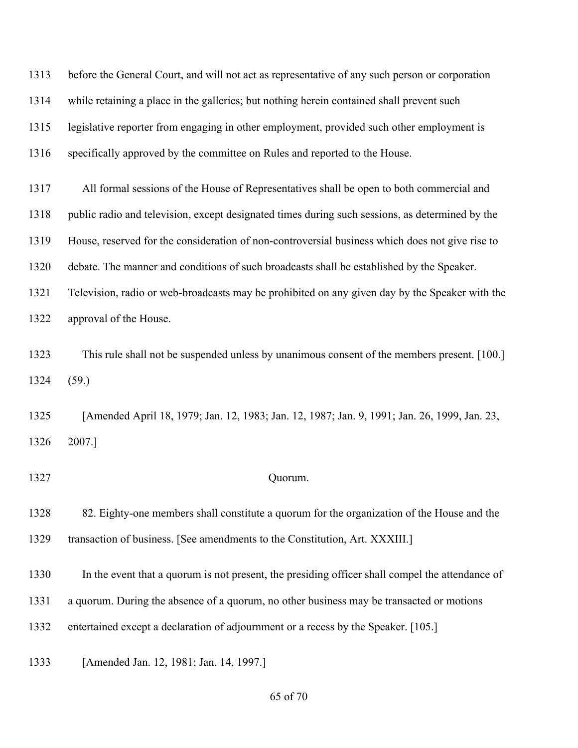before the General Court, and will not act as representative of any such person or corporation while retaining a place in the galleries; but nothing herein contained shall prevent such legislative reporter from engaging in other employment, provided such other employment is specifically approved by the committee on Rules and reported to the House. 1317 All formal sessions of the House of Representatives shall be open to both commercial and public radio and television, except designated times during such sessions, as determined by the House, reserved for the consideration of non-controversial business which does not give rise to debate. The manner and conditions of such broadcasts shall be established by the Speaker. Television, radio or web-broadcasts may be prohibited on any given day by the Speaker with the approval of the House. 1323 This rule shall not be suspended unless by unanimous consent of the members present. [100.] (59.) 1325 [Amended April 18, 1979; Jan. 12, 1983; Jan. 12, 1987; Jan. 9, 1991; Jan. 26, 1999, Jan. 23, 2007.] Quorum. 1328 82. Eighty-one members shall constitute a quorum for the organization of the House and the transaction of business. [See amendments to the Constitution, Art. XXXIII.] 1330 In the event that a quorum is not present, the presiding officer shall compel the attendance of a quorum. During the absence of a quorum, no other business may be transacted or motions entertained except a declaration of adjournment or a recess by the Speaker. [105.] 1333 [Amended Jan. 12, 1981; Jan. 14, 1997.]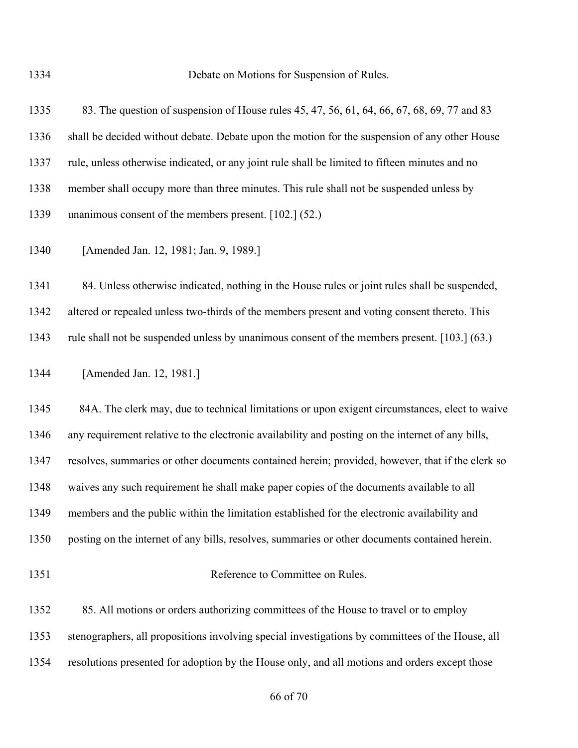| 1335 | 83. The question of suspension of House rules 45, 47, 56, 61, 64, 66, 67, 68, 69, 77 and 83       |
|------|---------------------------------------------------------------------------------------------------|
| 1336 | shall be decided without debate. Debate upon the motion for the suspension of any other House     |
| 1337 | rule, unless otherwise indicated, or any joint rule shall be limited to fifteen minutes and no    |
| 1338 | member shall occupy more than three minutes. This rule shall not be suspended unless by           |
| 1339 | unanimous consent of the members present. $[102.]$ (52.)                                          |
| 1340 | [Amended Jan. 12, 1981; Jan. 9, 1989.]                                                            |
| 1341 | 84. Unless otherwise indicated, nothing in the House rules or joint rules shall be suspended,     |
| 1342 | altered or repealed unless two-thirds of the members present and voting consent thereto. This     |
| 1343 | rule shall not be suspended unless by unanimous consent of the members present. [103.] (63.)      |
| 1344 | [Amended Jan. 12, 1981.]                                                                          |
| 1345 | 84A. The clerk may, due to technical limitations or upon exigent circumstances, elect to waive    |
| 1346 | any requirement relative to the electronic availability and posting on the internet of any bills, |
| 1347 | resolves, summaries or other documents contained herein; provided, however, that if the clerk so  |
| 1348 | waives any such requirement he shall make paper copies of the documents available to all          |
| 1349 | members and the public within the limitation established for the electronic availability and      |
| 1350 | posting on the internet of any bills, resolves, summaries or other documents contained herein.    |
| 1351 | Reference to Committee on Rules.                                                                  |
| 1352 | 85. All motions or orders authorizing committees of the House to travel or to employ              |
| 1353 | stenographers, all propositions involving special investigations by committees of the House, all  |
| 1354 | resolutions presented for adoption by the House only, and all motions and orders except those     |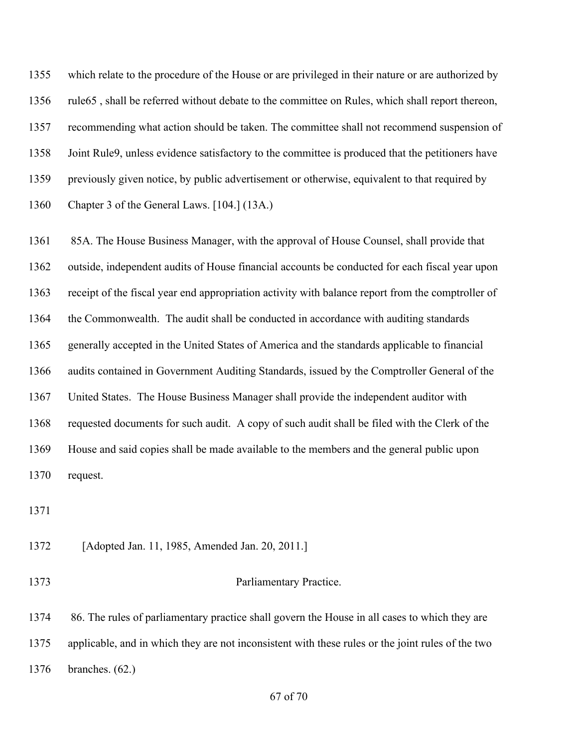which relate to the procedure of the House or are privileged in their nature or are authorized by rule65 , shall be referred without debate to the committee on Rules, which shall report thereon, recommending what action should be taken. The committee shall not recommend suspension of Joint Rule9, unless evidence satisfactory to the committee is produced that the petitioners have previously given notice, by public advertisement or otherwise, equivalent to that required by Chapter 3 of the General Laws. [104.] (13A.)

1361 85A. The House Business Manager, with the approval of House Counsel, shall provide that outside, independent audits of House financial accounts be conducted for each fiscal year upon receipt of the fiscal year end appropriation activity with balance report from the comptroller of the Commonwealth. The audit shall be conducted in accordance with auditing standards generally accepted in the United States of America and the standards applicable to financial audits contained in Government Auditing Standards, issued by the Comptroller General of the United States. The House Business Manager shall provide the independent auditor with requested documents for such audit. A copy of such audit shall be filed with the Clerk of the House and said copies shall be made available to the members and the general public upon request.

- 1372 [Adopted Jan. 11, 1985, Amended Jan. 20, 2011.]
- 

#### Parliamentary Practice.

 86. The rules of parliamentary practice shall govern the House in all cases to which they are applicable, and in which they are not inconsistent with these rules or the joint rules of the two branches. (62.)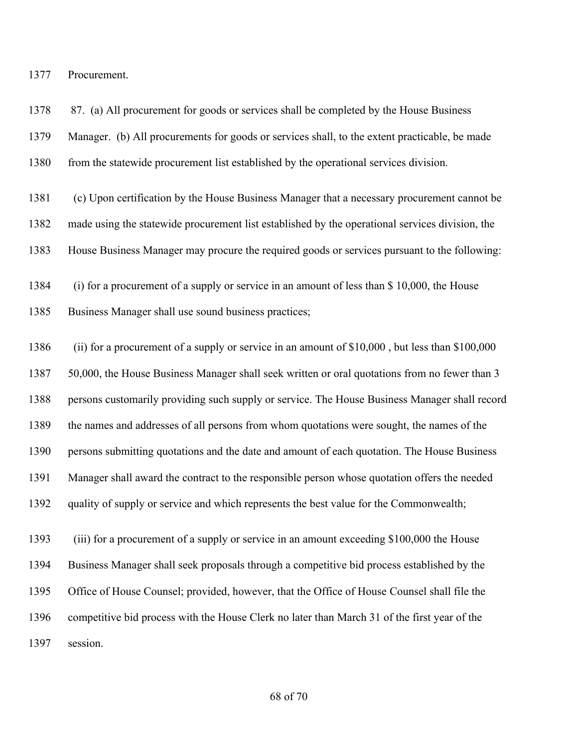Procurement.

 Manager. (b) All procurements for goods or services shall, to the extent practicable, be made from the statewide procurement list established by the operational services division. 1381 (c) Upon certification by the House Business Manager that a necessary procurement cannot be made using the statewide procurement list established by the operational services division, the House Business Manager may procure the required goods or services pursuant to the following: 1384 (i) for a procurement of a supply or service in an amount of less than \$ 10,000, the House Business Manager shall use sound business practices; 1386 (ii) for a procurement of a supply or service in an amount of \$10,000 , but less than \$100,000 50,000, the House Business Manager shall seek written or oral quotations from no fewer than 3 persons customarily providing such supply or service. The House Business Manager shall record the names and addresses of all persons from whom quotations were sought, the names of the persons submitting quotations and the date and amount of each quotation. The House Business Manager shall award the contract to the responsible person whose quotation offers the needed quality of supply or service and which represents the best value for the Commonwealth; 1393 (iii) for a procurement of a supply or service in an amount exceeding \$100,000 the House Business Manager shall seek proposals through a competitive bid process established by the Office of House Counsel; provided, however, that the Office of House Counsel shall file the

87. (a) All procurement for goods or services shall be completed by the House Business

session.

competitive bid process with the House Clerk no later than March 31 of the first year of the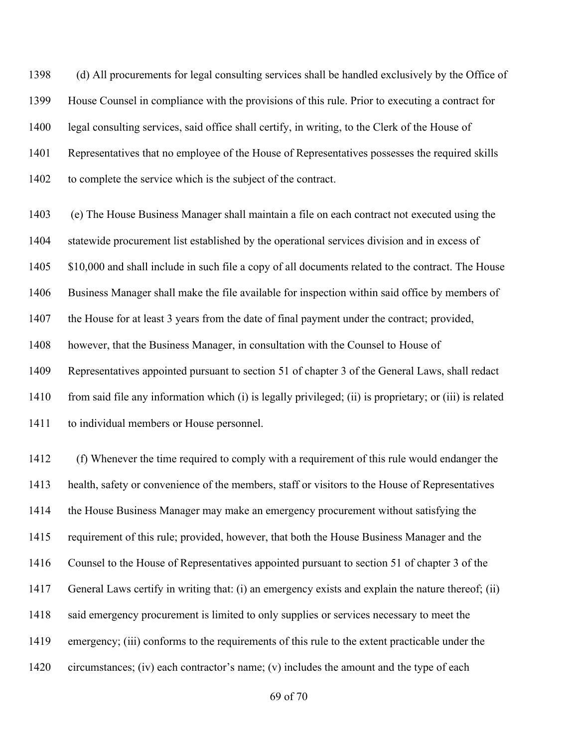1398 (d) All procurements for legal consulting services shall be handled exclusively by the Office of House Counsel in compliance with the provisions of this rule. Prior to executing a contract for legal consulting services, said office shall certify, in writing, to the Clerk of the House of Representatives that no employee of the House of Representatives possesses the required skills 1402 to complete the service which is the subject of the contract.

 (e) The House Business Manager shall maintain a file on each contract not executed using the statewide procurement list established by the operational services division and in excess of 1405 \$10,000 and shall include in such file a copy of all documents related to the contract. The House Business Manager shall make the file available for inspection within said office by members of the House for at least 3 years from the date of final payment under the contract; provided, however, that the Business Manager, in consultation with the Counsel to House of Representatives appointed pursuant to section 51 of chapter 3 of the General Laws, shall redact 1410 from said file any information which (i) is legally privileged; (ii) is proprietary; or (iii) is related to individual members or House personnel.

1412 (f) Whenever the time required to comply with a requirement of this rule would endanger the health, safety or convenience of the members, staff or visitors to the House of Representatives the House Business Manager may make an emergency procurement without satisfying the requirement of this rule; provided, however, that both the House Business Manager and the Counsel to the House of Representatives appointed pursuant to section 51 of chapter 3 of the General Laws certify in writing that: (i) an emergency exists and explain the nature thereof; (ii) 1418 said emergency procurement is limited to only supplies or services necessary to meet the emergency; (iii) conforms to the requirements of this rule to the extent practicable under the circumstances; (iv) each contractor's name; (v) includes the amount and the type of each